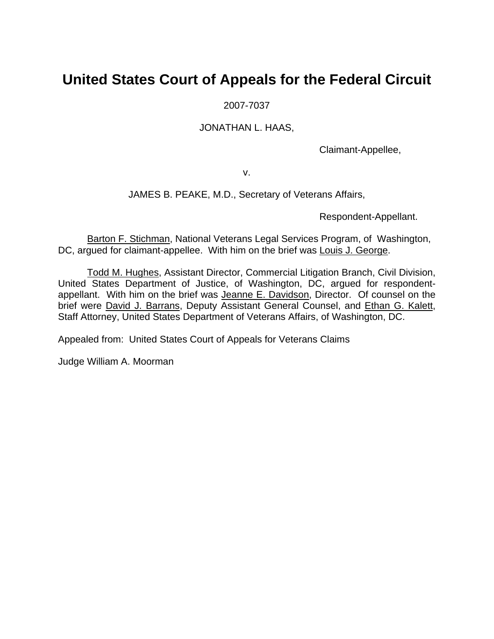# **United States Court of Appeals for the Federal Circuit**

2007-7037

JONATHAN L. HAAS,

Claimant-Appellee,

v.

## JAMES B. PEAKE, M.D., Secretary of Veterans Affairs,

Respondent-Appellant.

Barton F. Stichman, National Veterans Legal Services Program, of Washington, DC, argued for claimant-appellee. With him on the brief was Louis J. George.

Todd M. Hughes, Assistant Director, Commercial Litigation Branch, Civil Division, United States Department of Justice, of Washington, DC, argued for respondentappellant. With him on the brief was Jeanne E. Davidson, Director. Of counsel on the brief were David J. Barrans, Deputy Assistant General Counsel, and Ethan G. Kalett, Staff Attorney, United States Department of Veterans Affairs, of Washington, DC.

Appealed from: United States Court of Appeals for Veterans Claims

Judge William A. Moorman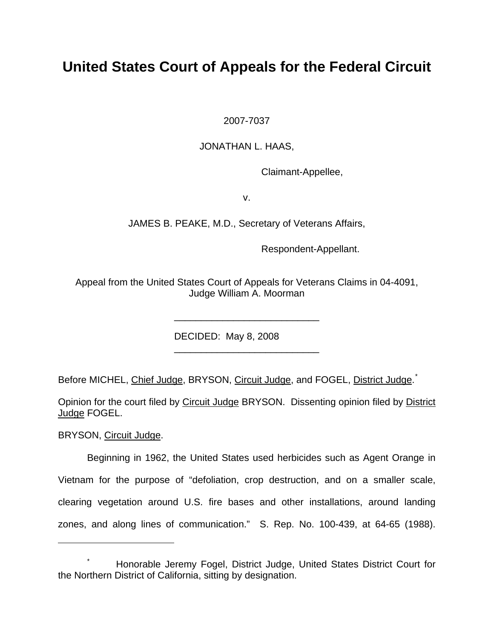# **United States Court of Appeals for the Federal Circuit**

2007-7037

JONATHAN L. HAAS,

Claimant-Appellee,

v.

JAMES B. PEAKE, M.D., Secretary of Veterans Affairs,

Respondent-Appellant.

Appeal from the United States Court of Appeals for Veterans Claims in 04-4091, Judge William A. Moorman

\_\_\_\_\_\_\_\_\_\_\_\_\_\_\_\_\_\_\_\_\_\_\_\_\_\_\_

\_\_\_\_\_\_\_\_\_\_\_\_\_\_\_\_\_\_\_\_\_\_\_\_\_\_\_

DECIDED: May 8, 2008

Before MICHEL, Chief Judge, BRYSON, Circuit Judge, and FOGEL, District Judge.<sup>[\\*](#page-1-0)</sup>

Opinion for the court filed by Circuit Judge BRYSON. Dissenting opinion filed by District Judge FOGEL.

BRYSON, Circuit Judge.

 $\overline{a}$ 

Beginning in 1962, the United States used herbicides such as Agent Orange in Vietnam for the purpose of "defoliation, crop destruction, and on a smaller scale, clearing vegetation around U.S. fire bases and other installations, around landing zones, and along lines of communication." S. Rep. No. 100-439, at 64-65 (1988).

<span id="page-1-0"></span><sup>\*</sup> Honorable Jeremy Fogel, District Judge, United States District Court for the Northern District of California, sitting by designation.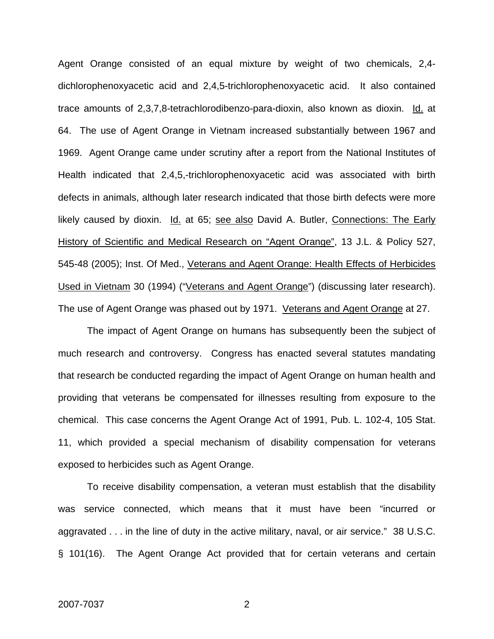Agent Orange consisted of an equal mixture by weight of two chemicals, 2,4 dichlorophenoxyacetic acid and 2,4,5-trichlorophenoxyacetic acid. It also contained trace amounts of 2,3,7,8-tetrachlorodibenzo-para-dioxin, also known as dioxin. Id. at 64. The use of Agent Orange in Vietnam increased substantially between 1967 and 1969. Agent Orange came under scrutiny after a report from the National Institutes of Health indicated that 2,4,5,-trichlorophenoxyacetic acid was associated with birth defects in animals, although later research indicated that those birth defects were more likely caused by dioxin. Id. at 65; see also David A. Butler, Connections: The Early History of Scientific and Medical Research on "Agent Orange", 13 J.L. & Policy 527, 545-48 (2005); Inst. Of Med., Veterans and Agent Orange: Health Effects of Herbicides Used in Vietnam 30 (1994) ("Veterans and Agent Orange") (discussing later research). The use of Agent Orange was phased out by 1971. Veterans and Agent Orange at 27.

The impact of Agent Orange on humans has subsequently been the subject of much research and controversy. Congress has enacted several statutes mandating that research be conducted regarding the impact of Agent Orange on human health and providing that veterans be compensated for illnesses resulting from exposure to the chemical. This case concerns the Agent Orange Act of 1991, Pub. L. 102-4, 105 Stat. 11, which provided a special mechanism of disability compensation for veterans exposed to herbicides such as Agent Orange.

To receive disability compensation, a veteran must establish that the disability was service connected, which means that it must have been "incurred or aggravated . . . in the line of duty in the active military, naval, or air service." 38 U.S.C. § 101(16). The Agent Orange Act provided that for certain veterans and certain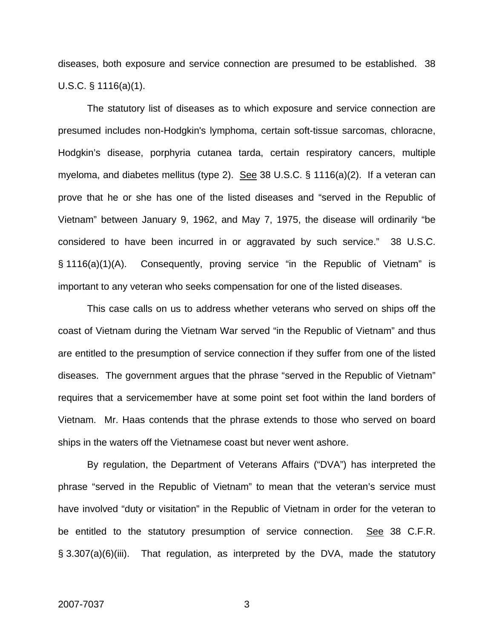diseases, both exposure and service connection are presumed to be established. 38 U.S.C. § 1116(a)(1).

The statutory list of diseases as to which exposure and service connection are presumed includes non-Hodgkin's lymphoma, certain soft-tissue sarcomas, chloracne, Hodgkin's disease, porphyria cutanea tarda, certain respiratory cancers, multiple myeloma, and diabetes mellitus (type 2). See 38 U.S.C.  $\S$  1116(a)(2). If a veteran can prove that he or she has one of the listed diseases and "served in the Republic of Vietnam" between January 9, 1962, and May 7, 1975, the disease will ordinarily "be considered to have been incurred in or aggravated by such service." 38 U.S.C. § 1116(a)(1)(A). Consequently, proving service "in the Republic of Vietnam" is important to any veteran who seeks compensation for one of the listed diseases.

This case calls on us to address whether veterans who served on ships off the coast of Vietnam during the Vietnam War served "in the Republic of Vietnam" and thus are entitled to the presumption of service connection if they suffer from one of the listed diseases. The government argues that the phrase "served in the Republic of Vietnam" requires that a servicemember have at some point set foot within the land borders of Vietnam. Mr. Haas contends that the phrase extends to those who served on board ships in the waters off the Vietnamese coast but never went ashore.

By regulation, the Department of Veterans Affairs ("DVA") has interpreted the phrase "served in the Republic of Vietnam" to mean that the veteran's service must have involved "duty or visitation" in the Republic of Vietnam in order for the veteran to be entitled to the statutory presumption of service connection. See 38 C.F.R. § 3.307(a)(6)(iii). That regulation, as interpreted by the DVA, made the statutory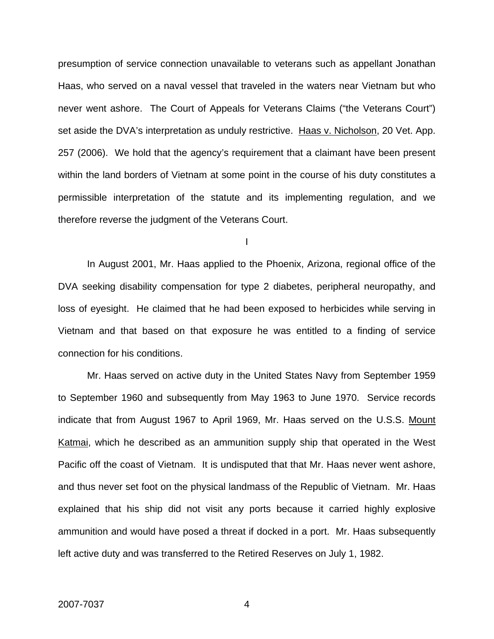presumption of service connection unavailable to veterans such as appellant Jonathan Haas, who served on a naval vessel that traveled in the waters near Vietnam but who never went ashore. The Court of Appeals for Veterans Claims ("the Veterans Court") set aside the DVA's interpretation as unduly restrictive. Haas v. Nicholson, 20 Vet. App. 257 (2006). We hold that the agency's requirement that a claimant have been present within the land borders of Vietnam at some point in the course of his duty constitutes a permissible interpretation of the statute and its implementing regulation, and we therefore reverse the judgment of the Veterans Court.

I

In August 2001, Mr. Haas applied to the Phoenix, Arizona, regional office of the DVA seeking disability compensation for type 2 diabetes, peripheral neuropathy, and loss of eyesight. He claimed that he had been exposed to herbicides while serving in Vietnam and that based on that exposure he was entitled to a finding of service connection for his conditions.

Mr. Haas served on active duty in the United States Navy from September 1959 to September 1960 and subsequently from May 1963 to June 1970. Service records indicate that from August 1967 to April 1969, Mr. Haas served on the U.S.S. Mount Katmai, which he described as an ammunition supply ship that operated in the West Pacific off the coast of Vietnam. It is undisputed that that Mr. Haas never went ashore, and thus never set foot on the physical landmass of the Republic of Vietnam. Mr. Haas explained that his ship did not visit any ports because it carried highly explosive ammunition and would have posed a threat if docked in a port. Mr. Haas subsequently left active duty and was transferred to the Retired Reserves on July 1, 1982.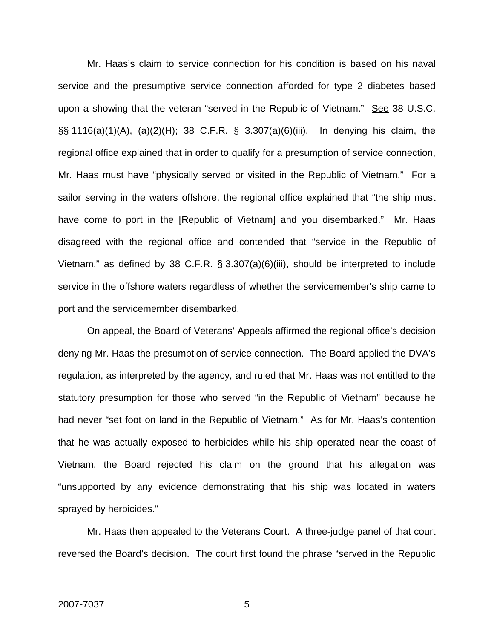Mr. Haas's claim to service connection for his condition is based on his naval service and the presumptive service connection afforded for type 2 diabetes based upon a showing that the veteran "served in the Republic of Vietnam." See 38 U.S.C. §§ 1116(a)(1)(A), (a)(2)(H); 38 C.F.R. § 3.307(a)(6)(iii). In denying his claim, the regional office explained that in order to qualify for a presumption of service connection, Mr. Haas must have "physically served or visited in the Republic of Vietnam." For a sailor serving in the waters offshore, the regional office explained that "the ship must have come to port in the [Republic of Vietnam] and you disembarked." Mr. Haas disagreed with the regional office and contended that "service in the Republic of Vietnam," as defined by 38 C.F.R. § 3.307(a)(6)(iii), should be interpreted to include service in the offshore waters regardless of whether the servicemember's ship came to port and the servicemember disembarked.

On appeal, the Board of Veterans' Appeals affirmed the regional office's decision denying Mr. Haas the presumption of service connection. The Board applied the DVA's regulation, as interpreted by the agency, and ruled that Mr. Haas was not entitled to the statutory presumption for those who served "in the Republic of Vietnam" because he had never "set foot on land in the Republic of Vietnam." As for Mr. Haas's contention that he was actually exposed to herbicides while his ship operated near the coast of Vietnam, the Board rejected his claim on the ground that his allegation was "unsupported by any evidence demonstrating that his ship was located in waters sprayed by herbicides."

Mr. Haas then appealed to the Veterans Court. A three-judge panel of that court reversed the Board's decision. The court first found the phrase "served in the Republic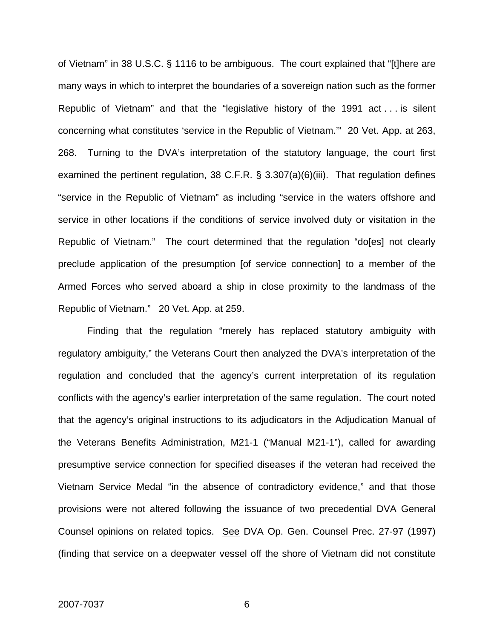of Vietnam" in 38 U.S.C. § 1116 to be ambiguous. The court explained that "[t]here are many ways in which to interpret the boundaries of a sovereign nation such as the former Republic of Vietnam" and that the "legislative history of the 1991 act . . . is silent concerning what constitutes 'service in the Republic of Vietnam.'" 20 Vet. App. at 263, 268. Turning to the DVA's interpretation of the statutory language, the court first examined the pertinent regulation, 38 C.F.R. § 3.307(a)(6)(iii). That regulation defines "service in the Republic of Vietnam" as including "service in the waters offshore and service in other locations if the conditions of service involved duty or visitation in the Republic of Vietnam." The court determined that the regulation "do[es] not clearly preclude application of the presumption [of service connection] to a member of the Armed Forces who served aboard a ship in close proximity to the landmass of the Republic of Vietnam." 20 Vet. App. at 259.

Finding that the regulation "merely has replaced statutory ambiguity with regulatory ambiguity," the Veterans Court then analyzed the DVA's interpretation of the regulation and concluded that the agency's current interpretation of its regulation conflicts with the agency's earlier interpretation of the same regulation. The court noted that the agency's original instructions to its adjudicators in the Adjudication Manual of the Veterans Benefits Administration, M21-1 ("Manual M21-1"), called for awarding presumptive service connection for specified diseases if the veteran had received the Vietnam Service Medal "in the absence of contradictory evidence," and that those provisions were not altered following the issuance of two precedential DVA General Counsel opinions on related topics. See DVA Op. Gen. Counsel Prec. 27-97 (1997) (finding that service on a deepwater vessel off the shore of Vietnam did not constitute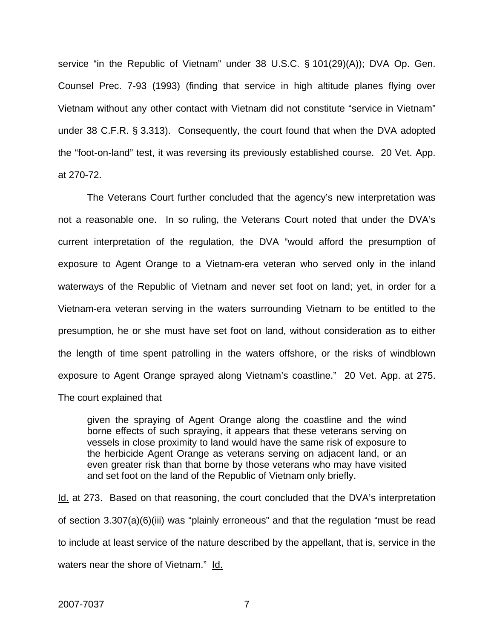service "in the Republic of Vietnam" under 38 U.S.C. § 101(29)(A)); DVA Op. Gen. Counsel Prec. 7-93 (1993) (finding that service in high altitude planes flying over Vietnam without any other contact with Vietnam did not constitute "service in Vietnam" under 38 C.F.R. § 3.313). Consequently, the court found that when the DVA adopted the "foot-on-land" test, it was reversing its previously established course. 20 Vet. App. at 270-72.

The Veterans Court further concluded that the agency's new interpretation was not a reasonable one. In so ruling, the Veterans Court noted that under the DVA's current interpretation of the regulation, the DVA "would afford the presumption of exposure to Agent Orange to a Vietnam-era veteran who served only in the inland waterways of the Republic of Vietnam and never set foot on land; yet, in order for a Vietnam-era veteran serving in the waters surrounding Vietnam to be entitled to the presumption, he or she must have set foot on land, without consideration as to either the length of time spent patrolling in the waters offshore, or the risks of windblown exposure to Agent Orange sprayed along Vietnam's coastline." 20 Vet. App. at 275. The court explained that

given the spraying of Agent Orange along the coastline and the wind borne effects of such spraying, it appears that these veterans serving on vessels in close proximity to land would have the same risk of exposure to the herbicide Agent Orange as veterans serving on adjacent land, or an even greater risk than that borne by those veterans who may have visited and set foot on the land of the Republic of Vietnam only briefly.

Id. at 273. Based on that reasoning, the court concluded that the DVA's interpretation of section 3.307(a)(6)(iii) was "plainly erroneous" and that the regulation "must be read to include at least service of the nature described by the appellant, that is, service in the waters near the shore of Vietnam." Id.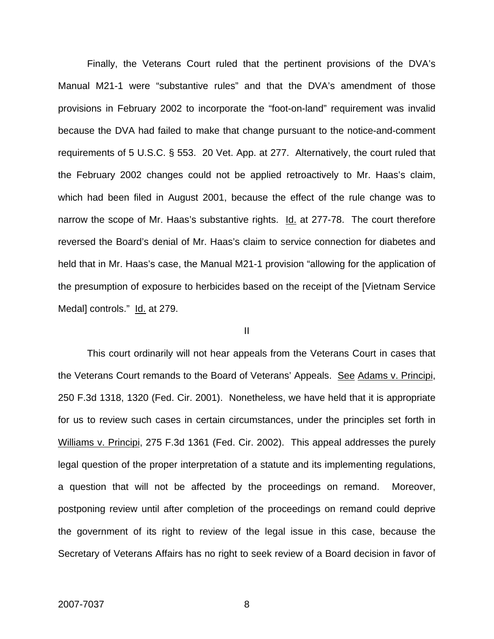Finally, the Veterans Court ruled that the pertinent provisions of the DVA's Manual M21-1 were "substantive rules" and that the DVA's amendment of those provisions in February 2002 to incorporate the "foot-on-land" requirement was invalid because the DVA had failed to make that change pursuant to the notice-and-comment requirements of 5 U.S.C. § 553. 20 Vet. App. at 277. Alternatively, the court ruled that the February 2002 changes could not be applied retroactively to Mr. Haas's claim, which had been filed in August 2001, because the effect of the rule change was to narrow the scope of Mr. Haas's substantive rights. Id. at 277-78. The court therefore reversed the Board's denial of Mr. Haas's claim to service connection for diabetes and held that in Mr. Haas's case, the Manual M21-1 provision "allowing for the application of the presumption of exposure to herbicides based on the receipt of the [Vietnam Service Medal] controls." Id. at 279.

#### II

This court ordinarily will not hear appeals from the Veterans Court in cases that the Veterans Court remands to the Board of Veterans' Appeals. See Adams v. Principi, 250 F.3d 1318, 1320 (Fed. Cir. 2001). Nonetheless, we have held that it is appropriate for us to review such cases in certain circumstances, under the principles set forth in Williams v. Principi, 275 F.3d 1361 (Fed. Cir. 2002). This appeal addresses the purely legal question of the proper interpretation of a statute and its implementing regulations, a question that will not be affected by the proceedings on remand. Moreover, postponing review until after completion of the proceedings on remand could deprive the government of its right to review of the legal issue in this case, because the Secretary of Veterans Affairs has no right to seek review of a Board decision in favor of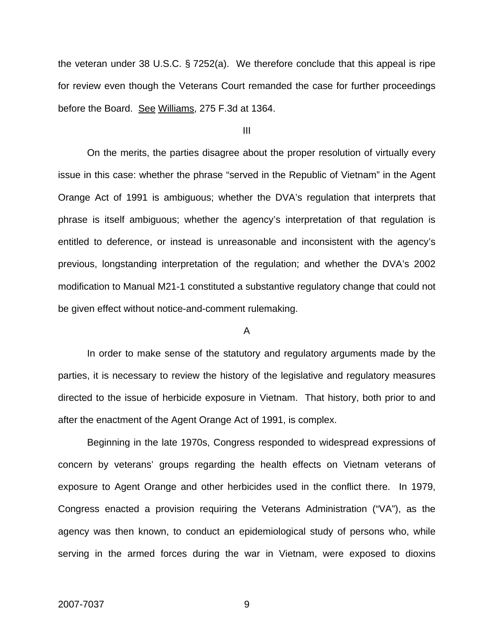the veteran under 38 U.S.C. § 7252(a). We therefore conclude that this appeal is ripe for review even though the Veterans Court remanded the case for further proceedings before the Board. See Williams, 275 F.3d at 1364.

III

On the merits, the parties disagree about the proper resolution of virtually every issue in this case: whether the phrase "served in the Republic of Vietnam" in the Agent Orange Act of 1991 is ambiguous; whether the DVA's regulation that interprets that phrase is itself ambiguous; whether the agency's interpretation of that regulation is entitled to deference, or instead is unreasonable and inconsistent with the agency's previous, longstanding interpretation of the regulation; and whether the DVA's 2002 modification to Manual M21-1 constituted a substantive regulatory change that could not be given effect without notice-and-comment rulemaking.

### A

In order to make sense of the statutory and regulatory arguments made by the parties, it is necessary to review the history of the legislative and regulatory measures directed to the issue of herbicide exposure in Vietnam. That history, both prior to and after the enactment of the Agent Orange Act of 1991, is complex.

Beginning in the late 1970s, Congress responded to widespread expressions of concern by veterans' groups regarding the health effects on Vietnam veterans of exposure to Agent Orange and other herbicides used in the conflict there. In 1979, Congress enacted a provision requiring the Veterans Administration ("VA"), as the agency was then known, to conduct an epidemiological study of persons who, while serving in the armed forces during the war in Vietnam, were exposed to dioxins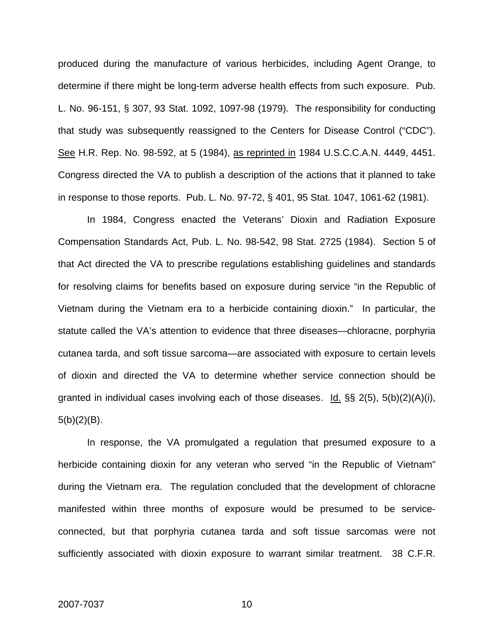produced during the manufacture of various herbicides, including Agent Orange, to determine if there might be long-term adverse health effects from such exposure. Pub. L. No. 96-151, § 307, 93 Stat. 1092, 1097-98 (1979). The responsibility for conducting that study was subsequently reassigned to the Centers for Disease Control ("CDC"). See H.R. Rep. No. 98-592, at 5 (1984), as reprinted in 1984 U.S.C.C.A.N. 4449, 4451. Congress directed the VA to publish a description of the actions that it planned to take in response to those reports. Pub. L. No. 97-72, § 401, 95 Stat. 1047, 1061-62 (1981).

In 1984, Congress enacted the Veterans' Dioxin and Radiation Exposure Compensation Standards Act, Pub. L. No. 98-542, 98 Stat. 2725 (1984). Section 5 of that Act directed the VA to prescribe regulations establishing guidelines and standards for resolving claims for benefits based on exposure during service "in the Republic of Vietnam during the Vietnam era to a herbicide containing dioxin." In particular, the statute called the VA's attention to evidence that three diseases—chloracne, porphyria cutanea tarda, and soft tissue sarcoma—are associated with exposure to certain levels of dioxin and directed the VA to determine whether service connection should be granted in individual cases involving each of those diseases. Id.  $\S$ § 2(5), 5(b)(2)(A)(i),  $5(b)(2)(B)$ .

In response, the VA promulgated a regulation that presumed exposure to a herbicide containing dioxin for any veteran who served "in the Republic of Vietnam" during the Vietnam era. The regulation concluded that the development of chloracne manifested within three months of exposure would be presumed to be serviceconnected, but that porphyria cutanea tarda and soft tissue sarcomas were not sufficiently associated with dioxin exposure to warrant similar treatment. 38 C.F.R.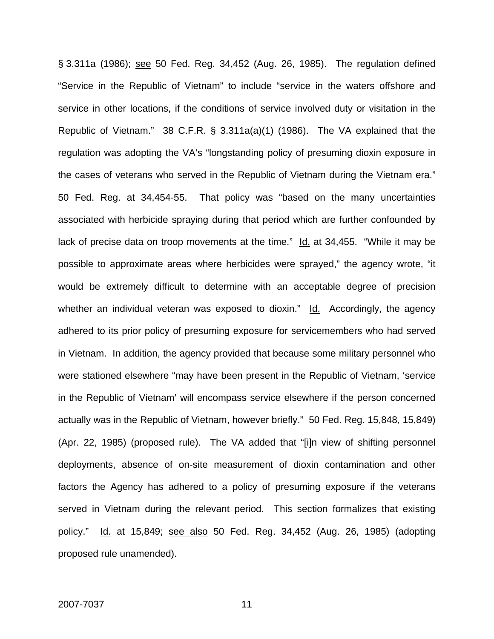§ 3.311a (1986); see 50 Fed. Reg. 34,452 (Aug. 26, 1985). The regulation defined "Service in the Republic of Vietnam" to include "service in the waters offshore and service in other locations, if the conditions of service involved duty or visitation in the Republic of Vietnam." 38 C.F.R. § 3.311a(a)(1) (1986). The VA explained that the regulation was adopting the VA's "longstanding policy of presuming dioxin exposure in the cases of veterans who served in the Republic of Vietnam during the Vietnam era." 50 Fed. Reg. at 34,454-55. That policy was "based on the many uncertainties associated with herbicide spraying during that period which are further confounded by lack of precise data on troop movements at the time." Id. at 34,455. "While it may be possible to approximate areas where herbicides were sprayed," the agency wrote, "it would be extremely difficult to determine with an acceptable degree of precision whether an individual veteran was exposed to dioxin."  $Id.$  Accordingly, the agency adhered to its prior policy of presuming exposure for servicemembers who had served in Vietnam. In addition, the agency provided that because some military personnel who were stationed elsewhere "may have been present in the Republic of Vietnam, 'service in the Republic of Vietnam' will encompass service elsewhere if the person concerned actually was in the Republic of Vietnam, however briefly." 50 Fed. Reg. 15,848, 15,849) (Apr. 22, 1985) (proposed rule). The VA added that "[i]n view of shifting personnel deployments, absence of on-site measurement of dioxin contamination and other factors the Agency has adhered to a policy of presuming exposure if the veterans served in Vietnam during the relevant period. This section formalizes that existing policy." Id. at 15,849; see also 50 Fed. Reg. 34,452 (Aug. 26, 1985) (adopting proposed rule unamended).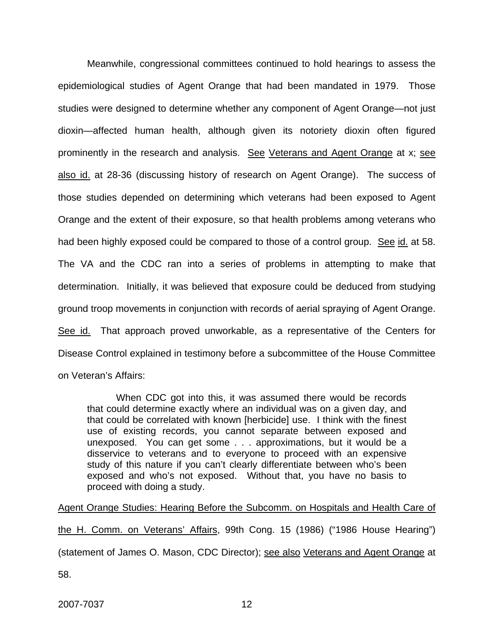Meanwhile, congressional committees continued to hold hearings to assess the epidemiological studies of Agent Orange that had been mandated in 1979. Those studies were designed to determine whether any component of Agent Orange—not just dioxin—affected human health, although given its notoriety dioxin often figured prominently in the research and analysis. See Veterans and Agent Orange at x; see also id. at 28-36 (discussing history of research on Agent Orange). The success of those studies depended on determining which veterans had been exposed to Agent Orange and the extent of their exposure, so that health problems among veterans who had been highly exposed could be compared to those of a control group. See id. at 58. The VA and the CDC ran into a series of problems in attempting to make that determination. Initially, it was believed that exposure could be deduced from studying ground troop movements in conjunction with records of aerial spraying of Agent Orange. See id. That approach proved unworkable, as a representative of the Centers for Disease Control explained in testimony before a subcommittee of the House Committee on Veteran's Affairs:

When CDC got into this, it was assumed there would be records that could determine exactly where an individual was on a given day, and that could be correlated with known [herbicide] use. I think with the finest use of existing records, you cannot separate between exposed and unexposed. You can get some . . . approximations, but it would be a disservice to veterans and to everyone to proceed with an expensive study of this nature if you can't clearly differentiate between who's been exposed and who's not exposed. Without that, you have no basis to proceed with doing a study.

Agent Orange Studies: Hearing Before the Subcomm. on Hospitals and Health Care of

the H. Comm. on Veterans' Affairs, 99th Cong. 15 (1986) ("1986 House Hearing") (statement of James O. Mason, CDC Director); see also Veterans and Agent Orange at

58.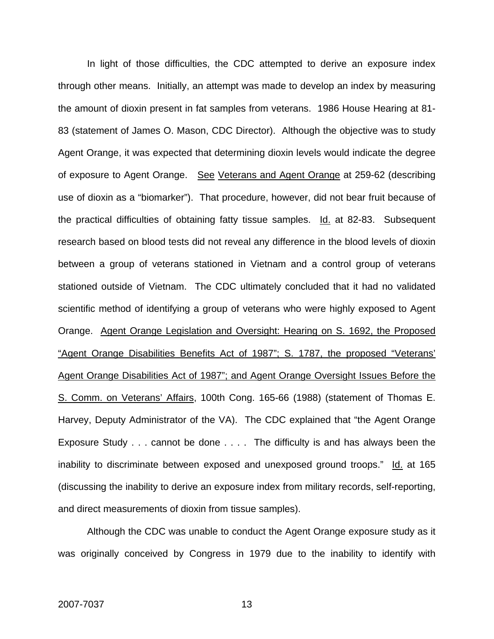In light of those difficulties, the CDC attempted to derive an exposure index through other means. Initially, an attempt was made to develop an index by measuring the amount of dioxin present in fat samples from veterans. 1986 House Hearing at 81- 83 (statement of James O. Mason, CDC Director). Although the objective was to study Agent Orange, it was expected that determining dioxin levels would indicate the degree of exposure to Agent Orange. See Veterans and Agent Orange at 259-62 (describing use of dioxin as a "biomarker"). That procedure, however, did not bear fruit because of the practical difficulties of obtaining fatty tissue samples. Id. at 82-83. Subsequent research based on blood tests did not reveal any difference in the blood levels of dioxin between a group of veterans stationed in Vietnam and a control group of veterans stationed outside of Vietnam. The CDC ultimately concluded that it had no validated scientific method of identifying a group of veterans who were highly exposed to Agent Orange. Agent Orange Legislation and Oversight: Hearing on S. 1692, the Proposed "Agent Orange Disabilities Benefits Act of 1987"; S. 1787, the proposed "Veterans' Agent Orange Disabilities Act of 1987"; and Agent Orange Oversight Issues Before the S. Comm. on Veterans' Affairs, 100th Cong. 165-66 (1988) (statement of Thomas E. Harvey, Deputy Administrator of the VA). The CDC explained that "the Agent Orange Exposure Study . . . cannot be done . . . . The difficulty is and has always been the inability to discriminate between exposed and unexposed ground troops." Id. at 165 (discussing the inability to derive an exposure index from military records, self-reporting, and direct measurements of dioxin from tissue samples).

Although the CDC was unable to conduct the Agent Orange exposure study as it was originally conceived by Congress in 1979 due to the inability to identify with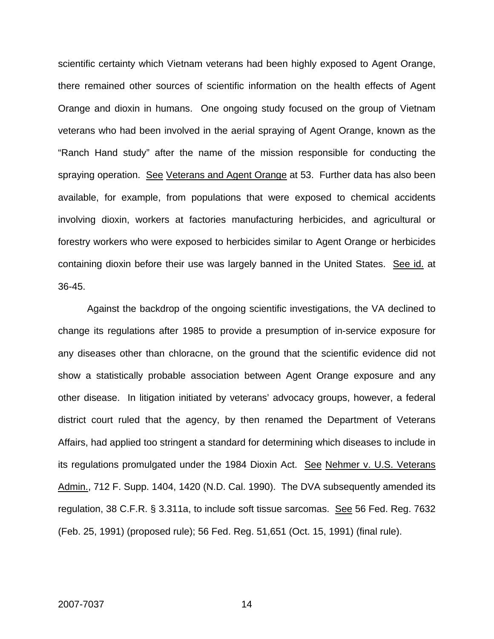scientific certainty which Vietnam veterans had been highly exposed to Agent Orange, there remained other sources of scientific information on the health effects of Agent Orange and dioxin in humans. One ongoing study focused on the group of Vietnam veterans who had been involved in the aerial spraying of Agent Orange, known as the "Ranch Hand study" after the name of the mission responsible for conducting the spraying operation. See Veterans and Agent Orange at 53. Further data has also been available, for example, from populations that were exposed to chemical accidents involving dioxin, workers at factories manufacturing herbicides, and agricultural or forestry workers who were exposed to herbicides similar to Agent Orange or herbicides containing dioxin before their use was largely banned in the United States. See id. at 36-45.

Against the backdrop of the ongoing scientific investigations, the VA declined to change its regulations after 1985 to provide a presumption of in-service exposure for any diseases other than chloracne, on the ground that the scientific evidence did not show a statistically probable association between Agent Orange exposure and any other disease. In litigation initiated by veterans' advocacy groups, however, a federal district court ruled that the agency, by then renamed the Department of Veterans Affairs, had applied too stringent a standard for determining which diseases to include in its regulations promulgated under the 1984 Dioxin Act. See Nehmer v. U.S. Veterans Admin., 712 F. Supp. 1404, 1420 (N.D. Cal. 1990). The DVA subsequently amended its regulation, 38 C.F.R. § 3.311a, to include soft tissue sarcomas. See 56 Fed. Reg. 7632 (Feb. 25, 1991) (proposed rule); 56 Fed. Reg. 51,651 (Oct. 15, 1991) (final rule).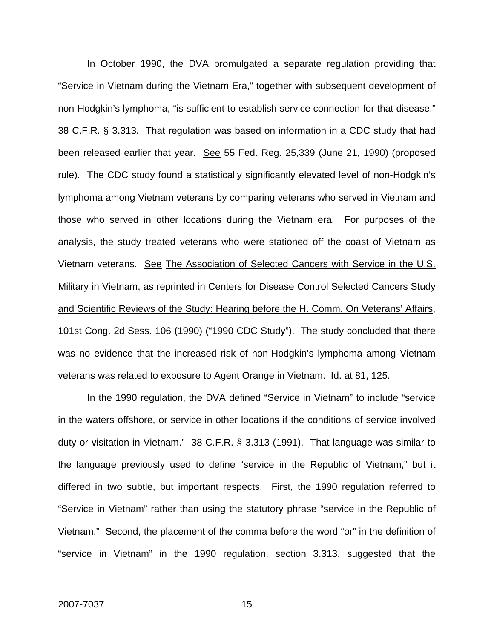In October 1990, the DVA promulgated a separate regulation providing that "Service in Vietnam during the Vietnam Era," together with subsequent development of non-Hodgkin's lymphoma, "is sufficient to establish service connection for that disease." 38 C.F.R. § 3.313. That regulation was based on information in a CDC study that had been released earlier that year. See 55 Fed. Reg. 25,339 (June 21, 1990) (proposed rule). The CDC study found a statistically significantly elevated level of non-Hodgkin's lymphoma among Vietnam veterans by comparing veterans who served in Vietnam and those who served in other locations during the Vietnam era. For purposes of the analysis, the study treated veterans who were stationed off the coast of Vietnam as Vietnam veterans. See The Association of Selected Cancers with Service in the U.S. Military in Vietnam, as reprinted in Centers for Disease Control Selected Cancers Study and Scientific Reviews of the Study: Hearing before the H. Comm. On Veterans' Affairs, 101st Cong. 2d Sess. 106 (1990) ("1990 CDC Study"). The study concluded that there was no evidence that the increased risk of non-Hodgkin's lymphoma among Vietnam veterans was related to exposure to Agent Orange in Vietnam. Id. at 81, 125.

In the 1990 regulation, the DVA defined "Service in Vietnam" to include "service in the waters offshore, or service in other locations if the conditions of service involved duty or visitation in Vietnam." 38 C.F.R. § 3.313 (1991). That language was similar to the language previously used to define "service in the Republic of Vietnam," but it differed in two subtle, but important respects. First, the 1990 regulation referred to "Service in Vietnam" rather than using the statutory phrase "service in the Republic of Vietnam." Second, the placement of the comma before the word "or" in the definition of "service in Vietnam" in the 1990 regulation, section 3.313, suggested that the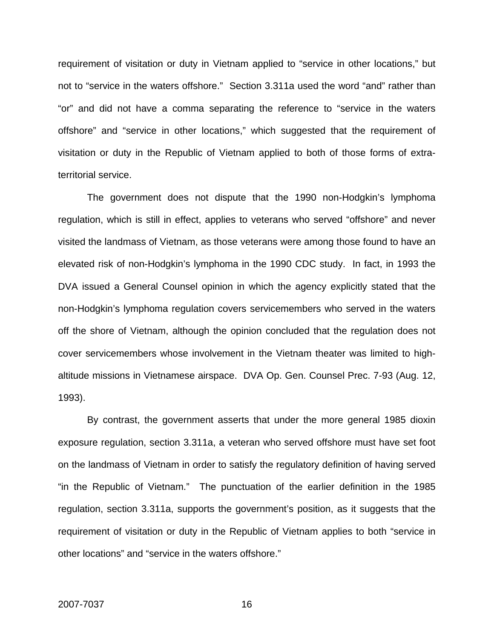requirement of visitation or duty in Vietnam applied to "service in other locations," but not to "service in the waters offshore." Section 3.311a used the word "and" rather than "or" and did not have a comma separating the reference to "service in the waters offshore" and "service in other locations," which suggested that the requirement of visitation or duty in the Republic of Vietnam applied to both of those forms of extraterritorial service.

The government does not dispute that the 1990 non-Hodgkin's lymphoma regulation, which is still in effect, applies to veterans who served "offshore" and never visited the landmass of Vietnam, as those veterans were among those found to have an elevated risk of non-Hodgkin's lymphoma in the 1990 CDC study. In fact, in 1993 the DVA issued a General Counsel opinion in which the agency explicitly stated that the non-Hodgkin's lymphoma regulation covers servicemembers who served in the waters off the shore of Vietnam, although the opinion concluded that the regulation does not cover servicemembers whose involvement in the Vietnam theater was limited to highaltitude missions in Vietnamese airspace. DVA Op. Gen. Counsel Prec. 7-93 (Aug. 12, 1993).

By contrast, the government asserts that under the more general 1985 dioxin exposure regulation, section 3.311a, a veteran who served offshore must have set foot on the landmass of Vietnam in order to satisfy the regulatory definition of having served "in the Republic of Vietnam." The punctuation of the earlier definition in the 1985 regulation, section 3.311a, supports the government's position, as it suggests that the requirement of visitation or duty in the Republic of Vietnam applies to both "service in other locations" and "service in the waters offshore."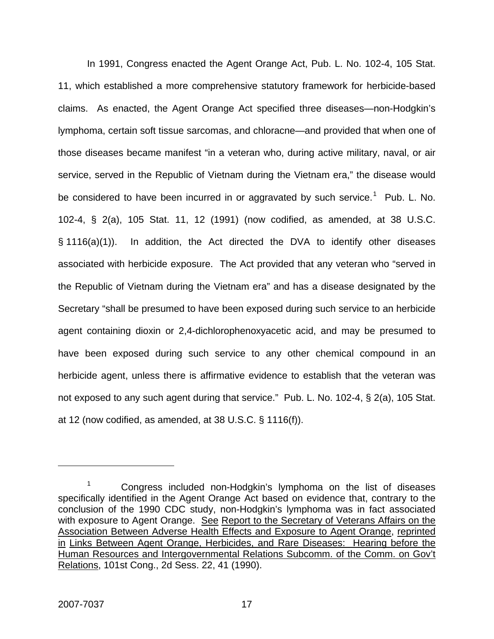In 1991, Congress enacted the Agent Orange Act, Pub. L. No. 102-4, 105 Stat. 11, which established a more comprehensive statutory framework for herbicide-based claims. As enacted, the Agent Orange Act specified three diseases—non-Hodgkin's lymphoma, certain soft tissue sarcomas, and chloracne—and provided that when one of those diseases became manifest "in a veteran who, during active military, naval, or air service, served in the Republic of Vietnam during the Vietnam era," the disease would be considered to have been incurred in or aggravated by such service.<sup>[1](#page-17-0)</sup> Pub. L. No. 102-4, § 2(a), 105 Stat. 11, 12 (1991) (now codified, as amended, at 38 U.S.C. § 1116(a)(1)). In addition, the Act directed the DVA to identify other diseases associated with herbicide exposure. The Act provided that any veteran who "served in the Republic of Vietnam during the Vietnam era" and has a disease designated by the Secretary "shall be presumed to have been exposed during such service to an herbicide agent containing dioxin or 2,4-dichlorophenoxyacetic acid, and may be presumed to have been exposed during such service to any other chemical compound in an herbicide agent, unless there is affirmative evidence to establish that the veteran was not exposed to any such agent during that service." Pub. L. No. 102-4, § 2(a), 105 Stat. at 12 (now codified, as amended, at 38 U.S.C. § 1116(f)).

 $\overline{a}$ 

<span id="page-17-0"></span><sup>1</sup> Congress included non-Hodgkin's lymphoma on the list of diseases specifically identified in the Agent Orange Act based on evidence that, contrary to the conclusion of the 1990 CDC study, non-Hodgkin's lymphoma was in fact associated with exposure to Agent Orange. See Report to the Secretary of Veterans Affairs on the Association Between Adverse Health Effects and Exposure to Agent Orange, reprinted in Links Between Agent Orange, Herbicides, and Rare Diseases: Hearing before the Human Resources and Intergovernmental Relations Subcomm. of the Comm. on Gov't Relations, 101st Cong., 2d Sess. 22, 41 (1990).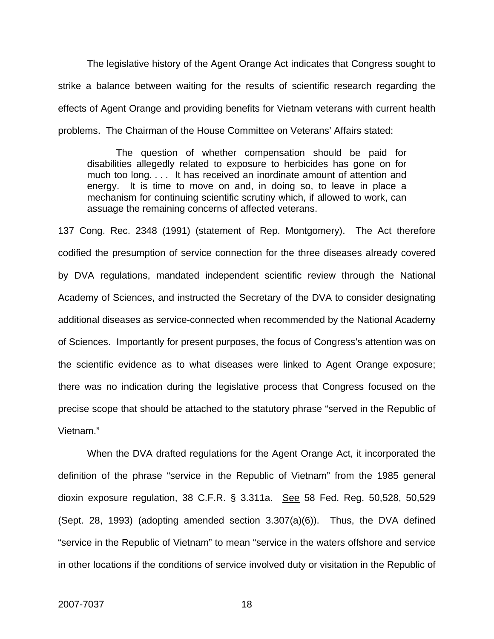The legislative history of the Agent Orange Act indicates that Congress sought to strike a balance between waiting for the results of scientific research regarding the effects of Agent Orange and providing benefits for Vietnam veterans with current health problems. The Chairman of the House Committee on Veterans' Affairs stated:

The question of whether compensation should be paid for disabilities allegedly related to exposure to herbicides has gone on for much too long. . . . It has received an inordinate amount of attention and energy. It is time to move on and, in doing so, to leave in place a mechanism for continuing scientific scrutiny which, if allowed to work, can assuage the remaining concerns of affected veterans.

137 Cong. Rec. 2348 (1991) (statement of Rep. Montgomery). The Act therefore codified the presumption of service connection for the three diseases already covered by DVA regulations, mandated independent scientific review through the National Academy of Sciences, and instructed the Secretary of the DVA to consider designating additional diseases as service-connected when recommended by the National Academy of Sciences. Importantly for present purposes, the focus of Congress's attention was on the scientific evidence as to what diseases were linked to Agent Orange exposure; there was no indication during the legislative process that Congress focused on the precise scope that should be attached to the statutory phrase "served in the Republic of Vietnam."

When the DVA drafted regulations for the Agent Orange Act, it incorporated the definition of the phrase "service in the Republic of Vietnam" from the 1985 general dioxin exposure regulation, 38 C.F.R. § 3.311a. See 58 Fed. Reg. 50,528, 50,529 (Sept. 28, 1993) (adopting amended section 3.307(a)(6)). Thus, the DVA defined "service in the Republic of Vietnam" to mean "service in the waters offshore and service in other locations if the conditions of service involved duty or visitation in the Republic of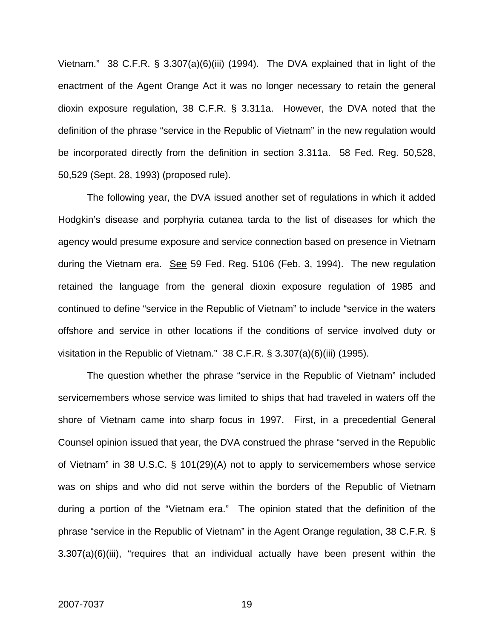Vietnam." 38 C.F.R. § 3.307(a)(6)(iii) (1994). The DVA explained that in light of the enactment of the Agent Orange Act it was no longer necessary to retain the general dioxin exposure regulation, 38 C.F.R. § 3.311a. However, the DVA noted that the definition of the phrase "service in the Republic of Vietnam" in the new regulation would be incorporated directly from the definition in section 3.311a. 58 Fed. Reg. 50,528, 50,529 (Sept. 28, 1993) (proposed rule).

The following year, the DVA issued another set of regulations in which it added Hodgkin's disease and porphyria cutanea tarda to the list of diseases for which the agency would presume exposure and service connection based on presence in Vietnam during the Vietnam era. See 59 Fed. Reg. 5106 (Feb. 3, 1994). The new regulation retained the language from the general dioxin exposure regulation of 1985 and continued to define "service in the Republic of Vietnam" to include "service in the waters offshore and service in other locations if the conditions of service involved duty or visitation in the Republic of Vietnam." 38 C.F.R. § 3.307(a)(6)(iii) (1995).

The question whether the phrase "service in the Republic of Vietnam" included servicemembers whose service was limited to ships that had traveled in waters off the shore of Vietnam came into sharp focus in 1997. First, in a precedential General Counsel opinion issued that year, the DVA construed the phrase "served in the Republic of Vietnam" in 38 U.S.C. § 101(29)(A) not to apply to servicemembers whose service was on ships and who did not serve within the borders of the Republic of Vietnam during a portion of the "Vietnam era." The opinion stated that the definition of the phrase "service in the Republic of Vietnam" in the Agent Orange regulation, 38 C.F.R. § 3.307(a)(6)(iii), "requires that an individual actually have been present within the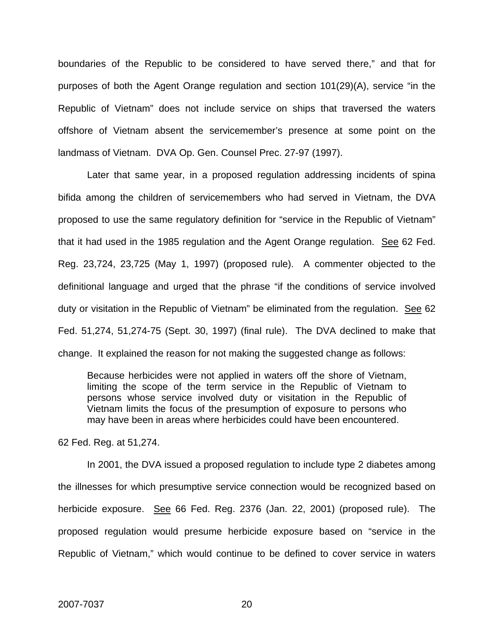boundaries of the Republic to be considered to have served there," and that for purposes of both the Agent Orange regulation and section 101(29)(A), service "in the Republic of Vietnam" does not include service on ships that traversed the waters offshore of Vietnam absent the servicemember's presence at some point on the landmass of Vietnam. DVA Op. Gen. Counsel Prec. 27-97 (1997).

Later that same year, in a proposed regulation addressing incidents of spina bifida among the children of servicemembers who had served in Vietnam, the DVA proposed to use the same regulatory definition for "service in the Republic of Vietnam" that it had used in the 1985 regulation and the Agent Orange regulation. See 62 Fed. Reg. 23,724, 23,725 (May 1, 1997) (proposed rule). A commenter objected to the definitional language and urged that the phrase "if the conditions of service involved duty or visitation in the Republic of Vietnam" be eliminated from the regulation. See 62 Fed. 51,274, 51,274-75 (Sept. 30, 1997) (final rule). The DVA declined to make that change. It explained the reason for not making the suggested change as follows:

Because herbicides were not applied in waters off the shore of Vietnam, limiting the scope of the term service in the Republic of Vietnam to persons whose service involved duty or visitation in the Republic of Vietnam limits the focus of the presumption of exposure to persons who may have been in areas where herbicides could have been encountered.

62 Fed. Reg. at 51,274.

In 2001, the DVA issued a proposed regulation to include type 2 diabetes among the illnesses for which presumptive service connection would be recognized based on herbicide exposure. See 66 Fed. Reg. 2376 (Jan. 22, 2001) (proposed rule). The proposed regulation would presume herbicide exposure based on "service in the Republic of Vietnam," which would continue to be defined to cover service in waters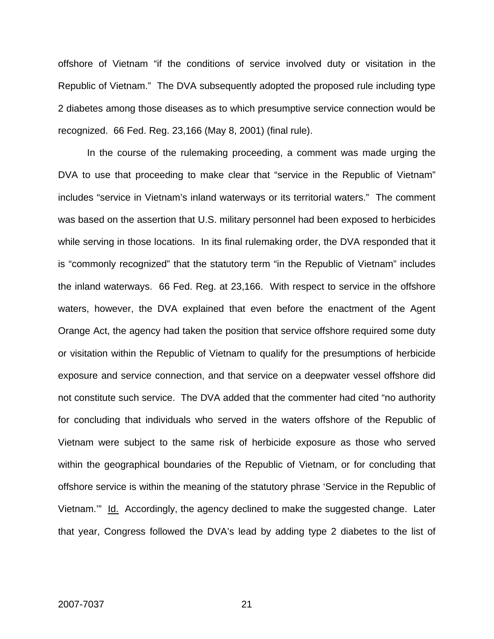offshore of Vietnam "if the conditions of service involved duty or visitation in the Republic of Vietnam." The DVA subsequently adopted the proposed rule including type 2 diabetes among those diseases as to which presumptive service connection would be recognized. 66 Fed. Reg. 23,166 (May 8, 2001) (final rule).

In the course of the rulemaking proceeding, a comment was made urging the DVA to use that proceeding to make clear that "service in the Republic of Vietnam" includes "service in Vietnam's inland waterways or its territorial waters." The comment was based on the assertion that U.S. military personnel had been exposed to herbicides while serving in those locations. In its final rulemaking order, the DVA responded that it is "commonly recognized" that the statutory term "in the Republic of Vietnam" includes the inland waterways. 66 Fed. Reg. at 23,166. With respect to service in the offshore waters, however, the DVA explained that even before the enactment of the Agent Orange Act, the agency had taken the position that service offshore required some duty or visitation within the Republic of Vietnam to qualify for the presumptions of herbicide exposure and service connection, and that service on a deepwater vessel offshore did not constitute such service. The DVA added that the commenter had cited "no authority for concluding that individuals who served in the waters offshore of the Republic of Vietnam were subject to the same risk of herbicide exposure as those who served within the geographical boundaries of the Republic of Vietnam, or for concluding that offshore service is within the meaning of the statutory phrase 'Service in the Republic of Vietnam." Id. Accordingly, the agency declined to make the suggested change. Later that year, Congress followed the DVA's lead by adding type 2 diabetes to the list of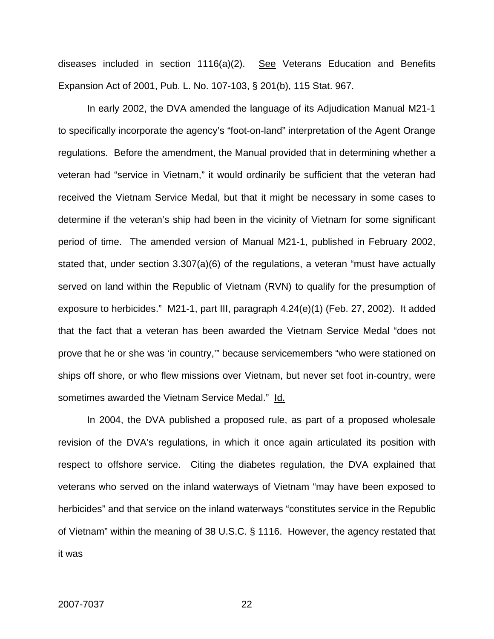diseases included in section 1116(a)(2). See Veterans Education and Benefits Expansion Act of 2001, Pub. L. No. 107-103, § 201(b), 115 Stat. 967.

In early 2002, the DVA amended the language of its Adjudication Manual M21-1 to specifically incorporate the agency's "foot-on-land" interpretation of the Agent Orange regulations. Before the amendment, the Manual provided that in determining whether a veteran had "service in Vietnam," it would ordinarily be sufficient that the veteran had received the Vietnam Service Medal, but that it might be necessary in some cases to determine if the veteran's ship had been in the vicinity of Vietnam for some significant period of time. The amended version of Manual M21-1, published in February 2002, stated that, under section 3.307(a)(6) of the regulations, a veteran "must have actually served on land within the Republic of Vietnam (RVN) to qualify for the presumption of exposure to herbicides." M21-1, part III, paragraph 4.24(e)(1) (Feb. 27, 2002). It added that the fact that a veteran has been awarded the Vietnam Service Medal "does not prove that he or she was 'in country,'" because servicemembers "who were stationed on ships off shore, or who flew missions over Vietnam, but never set foot in-country, were sometimes awarded the Vietnam Service Medal." Id.

In 2004, the DVA published a proposed rule, as part of a proposed wholesale revision of the DVA's regulations, in which it once again articulated its position with respect to offshore service. Citing the diabetes regulation, the DVA explained that veterans who served on the inland waterways of Vietnam "may have been exposed to herbicides" and that service on the inland waterways "constitutes service in the Republic of Vietnam" within the meaning of 38 U.S.C. § 1116. However, the agency restated that it was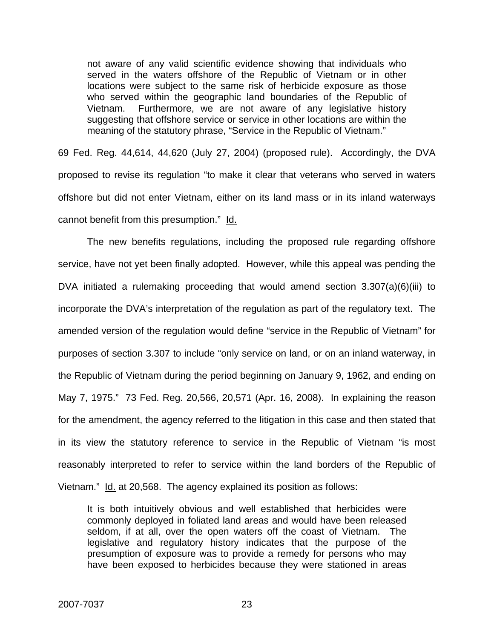not aware of any valid scientific evidence showing that individuals who served in the waters offshore of the Republic of Vietnam or in other locations were subject to the same risk of herbicide exposure as those who served within the geographic land boundaries of the Republic of Vietnam. Furthermore, we are not aware of any legislative history suggesting that offshore service or service in other locations are within the meaning of the statutory phrase, "Service in the Republic of Vietnam."

69 Fed. Reg. 44,614, 44,620 (July 27, 2004) (proposed rule). Accordingly, the DVA proposed to revise its regulation "to make it clear that veterans who served in waters offshore but did not enter Vietnam, either on its land mass or in its inland waterways cannot benefit from this presumption." Id.

The new benefits regulations, including the proposed rule regarding offshore service, have not yet been finally adopted. However, while this appeal was pending the DVA initiated a rulemaking proceeding that would amend section 3.307(a)(6)(iii) to incorporate the DVA's interpretation of the regulation as part of the regulatory text. The amended version of the regulation would define "service in the Republic of Vietnam" for purposes of section 3.307 to include "only service on land, or on an inland waterway, in the Republic of Vietnam during the period beginning on January 9, 1962, and ending on May 7, 1975." 73 Fed. Reg. 20,566, 20,571 (Apr. 16, 2008). In explaining the reason for the amendment, the agency referred to the litigation in this case and then stated that in its view the statutory reference to service in the Republic of Vietnam "is most reasonably interpreted to refer to service within the land borders of the Republic of Vietnam." Id. at 20,568. The agency explained its position as follows:

It is both intuitively obvious and well established that herbicides were commonly deployed in foliated land areas and would have been released seldom, if at all, over the open waters off the coast of Vietnam. The legislative and regulatory history indicates that the purpose of the presumption of exposure was to provide a remedy for persons who may have been exposed to herbicides because they were stationed in areas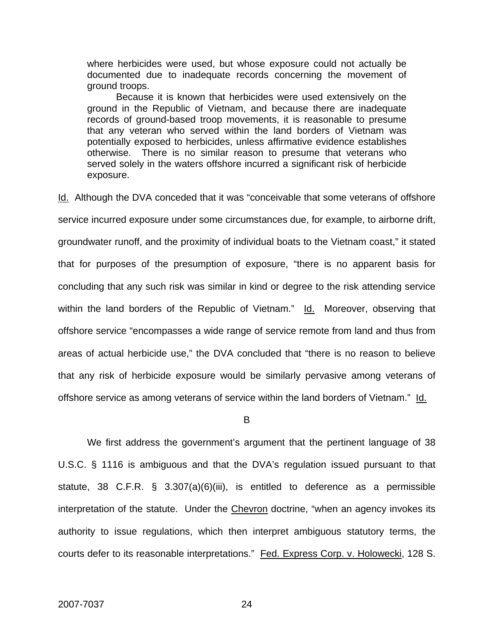where herbicides were used, but whose exposure could not actually be documented due to inadequate records concerning the movement of ground troops.

 Because it is known that herbicides were used extensively on the ground in the Republic of Vietnam, and because there are inadequate records of ground-based troop movements, it is reasonable to presume that any veteran who served within the land borders of Vietnam was potentially exposed to herbicides, unless affirmative evidence establishes otherwise. There is no similar reason to presume that veterans who served solely in the waters offshore incurred a significant risk of herbicide exposure.

Id. Although the DVA conceded that it was "conceivable that some veterans of offshore service incurred exposure under some circumstances due, for example, to airborne drift, groundwater runoff, and the proximity of individual boats to the Vietnam coast," it stated that for purposes of the presumption of exposure, "there is no apparent basis for concluding that any such risk was similar in kind or degree to the risk attending service within the land borders of the Republic of Vietnam." Id. Moreover, observing that offshore service "encompasses a wide range of service remote from land and thus from areas of actual herbicide use," the DVA concluded that "there is no reason to believe that any risk of herbicide exposure would be similarly pervasive among veterans of offshore service as among veterans of service within the land borders of Vietnam." Id.

#### B

We first address the government's argument that the pertinent language of 38 U.S.C. § 1116 is ambiguous and that the DVA's regulation issued pursuant to that statute, 38 C.F.R. § 3.307(a)(6)(iii), is entitled to deference as a permissible interpretation of the statute. Under the Chevron doctrine, "when an agency invokes its authority to issue regulations, which then interpret ambiguous statutory terms, the courts defer to its reasonable interpretations." Fed. Express Corp. v. Holowecki, 128 S.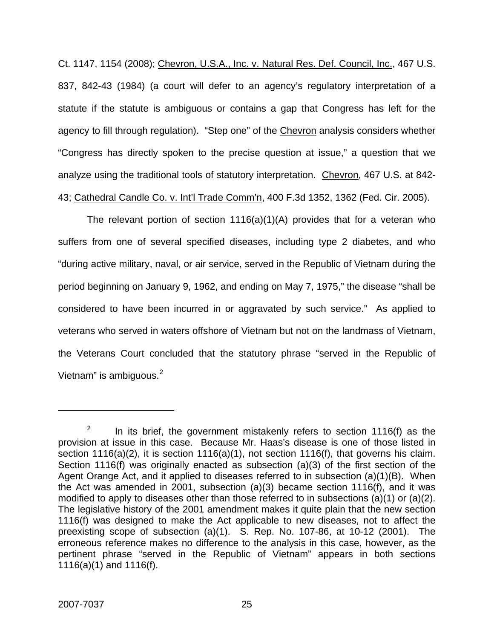Ct. 1147, 1154 (2008); Chevron, U.S.A., Inc. v. Natural Res. Def. Council, Inc., 467 U.S. 837, 842-43 (1984) (a court will defer to an agency's regulatory interpretation of a statute if the statute is ambiguous or contains a gap that Congress has left for the agency to fill through regulation). "Step one" of the Chevron analysis considers whether "Congress has directly spoken to the precise question at issue," a question that we analyze using the traditional tools of statutory interpretation. Chevron, 467 U.S. at 842- 43; Cathedral Candle Co. v. Int'l Trade Comm'n, 400 F.3d 1352, 1362 (Fed. Cir. 2005).

The relevant portion of section 1116(a)(1)(A) provides that for a veteran who suffers from one of several specified diseases, including type 2 diabetes, and who "during active military, naval, or air service, served in the Republic of Vietnam during the period beginning on January 9, 1962, and ending on May 7, 1975," the disease "shall be considered to have been incurred in or aggravated by such service." As applied to veterans who served in waters offshore of Vietnam but not on the landmass of Vietnam, the Veterans Court concluded that the statutory phrase "served in the Republic of Vietnam" is ambiguous.<sup>[2](#page-25-0)</sup>

 $\overline{a}$ 

<span id="page-25-0"></span><sup>2</sup> In its brief, the government mistakenly refers to section 1116(f) as the provision at issue in this case. Because Mr. Haas's disease is one of those listed in section 1116(a)(2), it is section 1116(a)(1), not section 1116(f), that governs his claim. Section 1116(f) was originally enacted as subsection (a)(3) of the first section of the Agent Orange Act, and it applied to diseases referred to in subsection (a)(1)(B). When the Act was amended in 2001, subsection (a)(3) became section 1116(f), and it was modified to apply to diseases other than those referred to in subsections (a)(1) or (a)(2). The legislative history of the 2001 amendment makes it quite plain that the new section 1116(f) was designed to make the Act applicable to new diseases, not to affect the preexisting scope of subsection (a)(1). S. Rep. No. 107-86, at 10-12 (2001). The erroneous reference makes no difference to the analysis in this case, however, as the pertinent phrase "served in the Republic of Vietnam" appears in both sections 1116(a)(1) and 1116(f).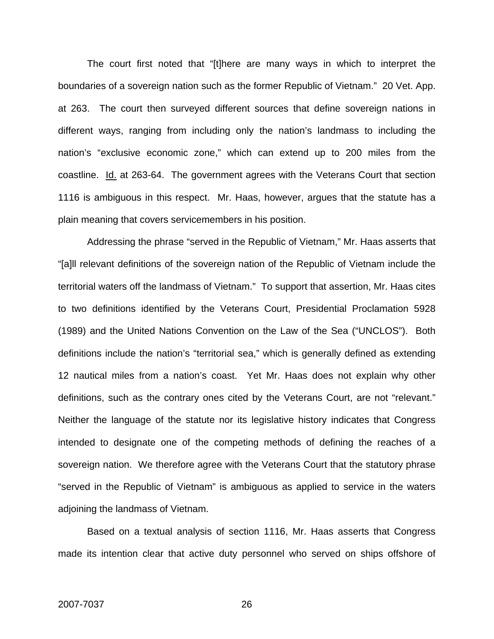The court first noted that "[t]here are many ways in which to interpret the boundaries of a sovereign nation such as the former Republic of Vietnam." 20 Vet. App. at 263. The court then surveyed different sources that define sovereign nations in different ways, ranging from including only the nation's landmass to including the nation's "exclusive economic zone," which can extend up to 200 miles from the coastline. Id. at 263-64. The government agrees with the Veterans Court that section 1116 is ambiguous in this respect. Mr. Haas, however, argues that the statute has a plain meaning that covers servicemembers in his position.

Addressing the phrase "served in the Republic of Vietnam," Mr. Haas asserts that "[a]ll relevant definitions of the sovereign nation of the Republic of Vietnam include the territorial waters off the landmass of Vietnam." To support that assertion, Mr. Haas cites to two definitions identified by the Veterans Court, Presidential Proclamation 5928 (1989) and the United Nations Convention on the Law of the Sea ("UNCLOS"). Both definitions include the nation's "territorial sea," which is generally defined as extending 12 nautical miles from a nation's coast. Yet Mr. Haas does not explain why other definitions, such as the contrary ones cited by the Veterans Court, are not "relevant." Neither the language of the statute nor its legislative history indicates that Congress intended to designate one of the competing methods of defining the reaches of a sovereign nation. We therefore agree with the Veterans Court that the statutory phrase "served in the Republic of Vietnam" is ambiguous as applied to service in the waters adjoining the landmass of Vietnam.

Based on a textual analysis of section 1116, Mr. Haas asserts that Congress made its intention clear that active duty personnel who served on ships offshore of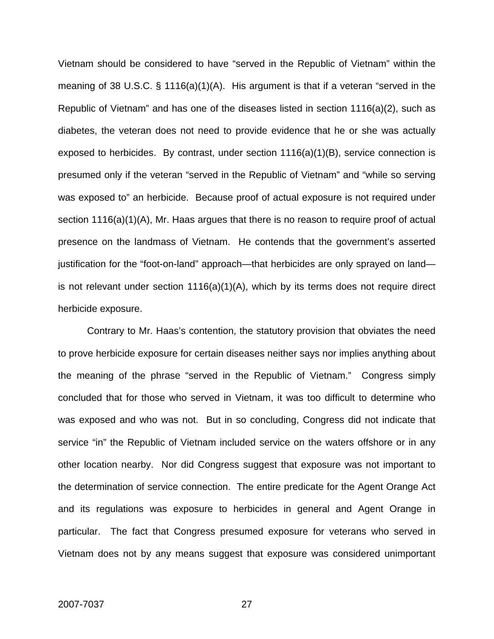Vietnam should be considered to have "served in the Republic of Vietnam" within the meaning of 38 U.S.C. § 1116(a)(1)(A). His argument is that if a veteran "served in the Republic of Vietnam" and has one of the diseases listed in section 1116(a)(2), such as diabetes, the veteran does not need to provide evidence that he or she was actually exposed to herbicides. By contrast, under section 1116(a)(1)(B), service connection is presumed only if the veteran "served in the Republic of Vietnam" and "while so serving was exposed to" an herbicide. Because proof of actual exposure is not required under section 1116(a)(1)(A), Mr. Haas argues that there is no reason to require proof of actual presence on the landmass of Vietnam. He contends that the government's asserted justification for the "foot-on-land" approach—that herbicides are only sprayed on land is not relevant under section 1116(a)(1)(A), which by its terms does not require direct herbicide exposure.

Contrary to Mr. Haas's contention, the statutory provision that obviates the need to prove herbicide exposure for certain diseases neither says nor implies anything about the meaning of the phrase "served in the Republic of Vietnam." Congress simply concluded that for those who served in Vietnam, it was too difficult to determine who was exposed and who was not. But in so concluding, Congress did not indicate that service "in" the Republic of Vietnam included service on the waters offshore or in any other location nearby. Nor did Congress suggest that exposure was not important to the determination of service connection. The entire predicate for the Agent Orange Act and its regulations was exposure to herbicides in general and Agent Orange in particular. The fact that Congress presumed exposure for veterans who served in Vietnam does not by any means suggest that exposure was considered unimportant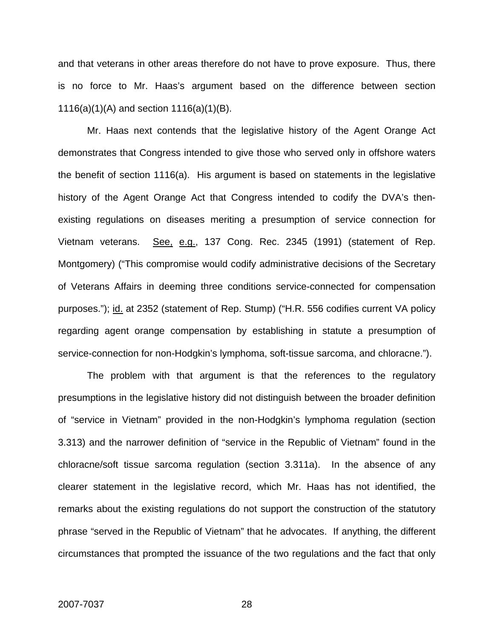and that veterans in other areas therefore do not have to prove exposure. Thus, there is no force to Mr. Haas's argument based on the difference between section 1116(a)(1)(A) and section 1116(a)(1)(B).

Mr. Haas next contends that the legislative history of the Agent Orange Act demonstrates that Congress intended to give those who served only in offshore waters the benefit of section 1116(a). His argument is based on statements in the legislative history of the Agent Orange Act that Congress intended to codify the DVA's thenexisting regulations on diseases meriting a presumption of service connection for Vietnam veterans. See, e.g., 137 Cong. Rec. 2345 (1991) (statement of Rep. Montgomery) ("This compromise would codify administrative decisions of the Secretary of Veterans Affairs in deeming three conditions service-connected for compensation purposes."); id. at 2352 (statement of Rep. Stump) ("H.R. 556 codifies current VA policy regarding agent orange compensation by establishing in statute a presumption of service-connection for non-Hodgkin's lymphoma, soft-tissue sarcoma, and chloracne.").

The problem with that argument is that the references to the regulatory presumptions in the legislative history did not distinguish between the broader definition of "service in Vietnam" provided in the non-Hodgkin's lymphoma regulation (section 3.313) and the narrower definition of "service in the Republic of Vietnam" found in the chloracne/soft tissue sarcoma regulation (section 3.311a). In the absence of any clearer statement in the legislative record, which Mr. Haas has not identified, the remarks about the existing regulations do not support the construction of the statutory phrase "served in the Republic of Vietnam" that he advocates. If anything, the different circumstances that prompted the issuance of the two regulations and the fact that only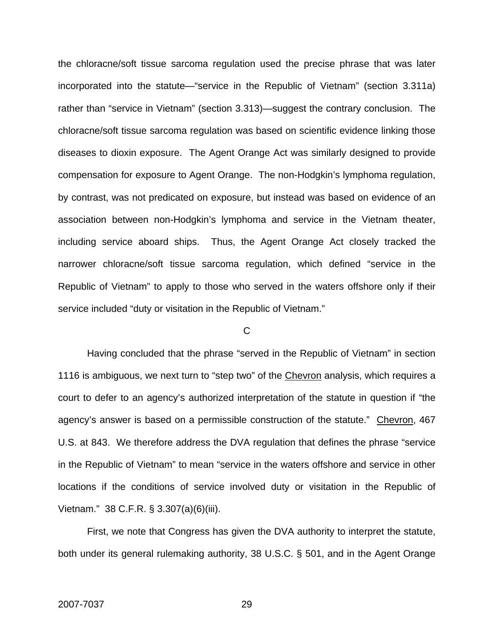the chloracne/soft tissue sarcoma regulation used the precise phrase that was later incorporated into the statute—"service in the Republic of Vietnam" (section 3.311a) rather than "service in Vietnam" (section 3.313)—suggest the contrary conclusion. The chloracne/soft tissue sarcoma regulation was based on scientific evidence linking those diseases to dioxin exposure. The Agent Orange Act was similarly designed to provide compensation for exposure to Agent Orange. The non-Hodgkin's lymphoma regulation, by contrast, was not predicated on exposure, but instead was based on evidence of an association between non-Hodgkin's lymphoma and service in the Vietnam theater, including service aboard ships. Thus, the Agent Orange Act closely tracked the narrower chloracne/soft tissue sarcoma regulation, which defined "service in the Republic of Vietnam" to apply to those who served in the waters offshore only if their service included "duty or visitation in the Republic of Vietnam."

### $\overline{C}$

Having concluded that the phrase "served in the Republic of Vietnam" in section 1116 is ambiguous, we next turn to "step two" of the Chevron analysis, which requires a court to defer to an agency's authorized interpretation of the statute in question if "the agency's answer is based on a permissible construction of the statute." Chevron, 467 U.S. at 843. We therefore address the DVA regulation that defines the phrase "service in the Republic of Vietnam" to mean "service in the waters offshore and service in other locations if the conditions of service involved duty or visitation in the Republic of Vietnam." 38 C.F.R. § 3.307(a)(6)(iii).

First, we note that Congress has given the DVA authority to interpret the statute, both under its general rulemaking authority, 38 U.S.C. § 501, and in the Agent Orange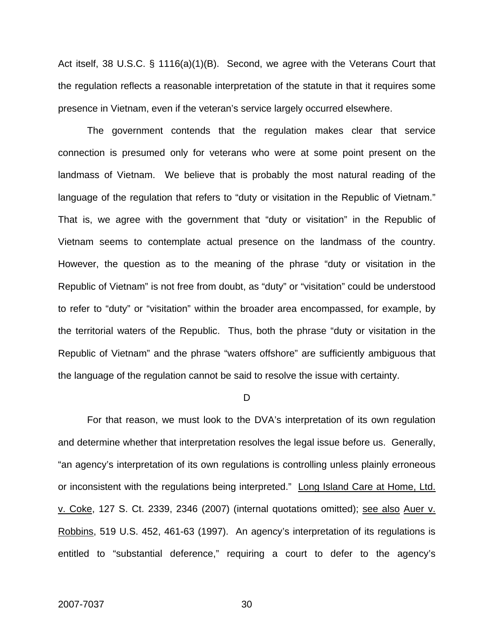Act itself, 38 U.S.C. § 1116(a)(1)(B). Second, we agree with the Veterans Court that the regulation reflects a reasonable interpretation of the statute in that it requires some presence in Vietnam, even if the veteran's service largely occurred elsewhere.

The government contends that the regulation makes clear that service connection is presumed only for veterans who were at some point present on the landmass of Vietnam. We believe that is probably the most natural reading of the language of the regulation that refers to "duty or visitation in the Republic of Vietnam." That is, we agree with the government that "duty or visitation" in the Republic of Vietnam seems to contemplate actual presence on the landmass of the country. However, the question as to the meaning of the phrase "duty or visitation in the Republic of Vietnam" is not free from doubt, as "duty" or "visitation" could be understood to refer to "duty" or "visitation" within the broader area encompassed, for example, by the territorial waters of the Republic. Thus, both the phrase "duty or visitation in the Republic of Vietnam" and the phrase "waters offshore" are sufficiently ambiguous that the language of the regulation cannot be said to resolve the issue with certainty.

D

For that reason, we must look to the DVA's interpretation of its own regulation and determine whether that interpretation resolves the legal issue before us. Generally, "an agency's interpretation of its own regulations is controlling unless plainly erroneous or inconsistent with the regulations being interpreted." Long Island Care at Home, Ltd. v. Coke, 127 S. Ct. 2339, 2346 (2007) (internal quotations omitted); see also Auer v. Robbins, 519 U.S. 452, 461-63 (1997). An agency's interpretation of its regulations is entitled to "substantial deference," requiring a court to defer to the agency's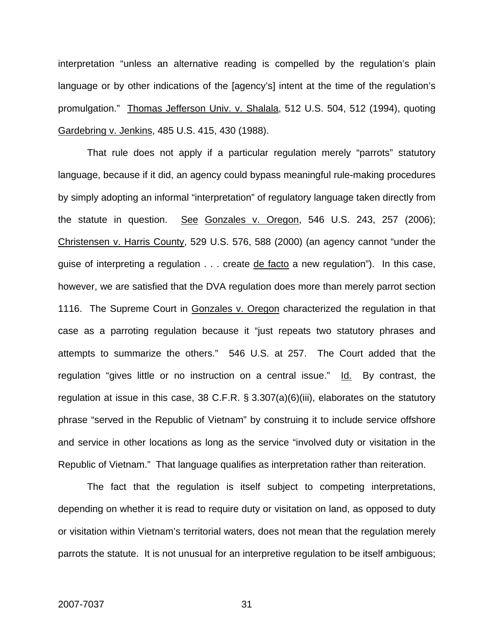interpretation "unless an alternative reading is compelled by the regulation's plain language or by other indications of the [agency's] intent at the time of the regulation's promulgation." Thomas Jefferson Univ. v. Shalala, 512 U.S. 504, 512 (1994), quoting Gardebring v. Jenkins, 485 U.S. 415, 430 (1988).

That rule does not apply if a particular regulation merely "parrots" statutory language, because if it did, an agency could bypass meaningful rule-making procedures by simply adopting an informal "interpretation" of regulatory language taken directly from the statute in question. See Gonzales v. Oregon, 546 U.S. 243, 257 (2006); Christensen v. Harris County, 529 U.S. 576, 588 (2000) (an agency cannot "under the guise of interpreting a regulation . . . create de facto a new regulation"). In this case, however, we are satisfied that the DVA regulation does more than merely parrot section 1116. The Supreme Court in Gonzales v. Oregon characterized the regulation in that case as a parroting regulation because it "just repeats two statutory phrases and attempts to summarize the others." 546 U.S. at 257. The Court added that the regulation "gives little or no instruction on a central issue." Id. By contrast, the regulation at issue in this case, 38 C.F.R. § 3.307(a)(6)(iii), elaborates on the statutory phrase "served in the Republic of Vietnam" by construing it to include service offshore and service in other locations as long as the service "involved duty or visitation in the Republic of Vietnam." That language qualifies as interpretation rather than reiteration.

The fact that the regulation is itself subject to competing interpretations, depending on whether it is read to require duty or visitation on land, as opposed to duty or visitation within Vietnam's territorial waters, does not mean that the regulation merely parrots the statute. It is not unusual for an interpretive regulation to be itself ambiguous;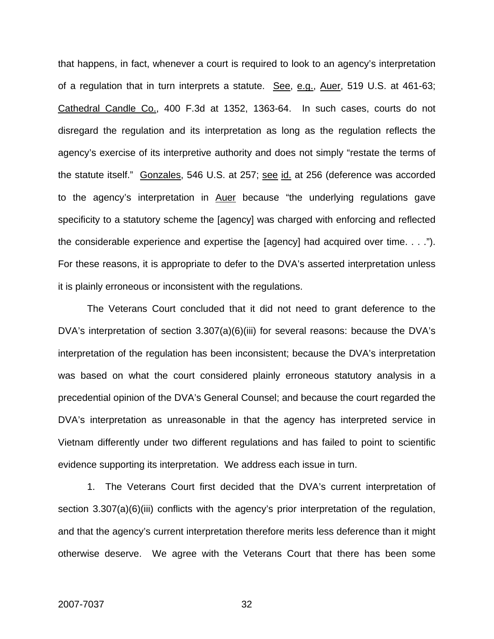that happens, in fact, whenever a court is required to look to an agency's interpretation of a regulation that in turn interprets a statute. See, e.g., Auer, 519 U.S. at 461-63; Cathedral Candle Co., 400 F.3d at 1352, 1363-64. In such cases, courts do not disregard the regulation and its interpretation as long as the regulation reflects the agency's exercise of its interpretive authority and does not simply "restate the terms of the statute itself." Gonzales, 546 U.S. at 257; see id. at 256 (deference was accorded to the agency's interpretation in Auer because "the underlying regulations gave specificity to a statutory scheme the [agency] was charged with enforcing and reflected the considerable experience and expertise the [agency] had acquired over time. . . ."). For these reasons, it is appropriate to defer to the DVA's asserted interpretation unless it is plainly erroneous or inconsistent with the regulations.

 The Veterans Court concluded that it did not need to grant deference to the DVA's interpretation of section 3.307(a)(6)(iii) for several reasons: because the DVA's interpretation of the regulation has been inconsistent; because the DVA's interpretation was based on what the court considered plainly erroneous statutory analysis in a precedential opinion of the DVA's General Counsel; and because the court regarded the DVA's interpretation as unreasonable in that the agency has interpreted service in Vietnam differently under two different regulations and has failed to point to scientific evidence supporting its interpretation. We address each issue in turn.

1. The Veterans Court first decided that the DVA's current interpretation of section 3.307(a)(6)(iii) conflicts with the agency's prior interpretation of the regulation, and that the agency's current interpretation therefore merits less deference than it might otherwise deserve. We agree with the Veterans Court that there has been some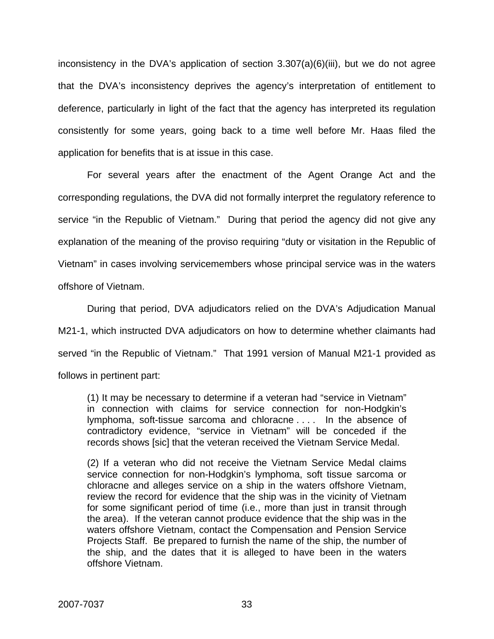inconsistency in the DVA's application of section 3.307(a)(6)(iii), but we do not agree that the DVA's inconsistency deprives the agency's interpretation of entitlement to deference, particularly in light of the fact that the agency has interpreted its regulation consistently for some years, going back to a time well before Mr. Haas filed the application for benefits that is at issue in this case.

For several years after the enactment of the Agent Orange Act and the corresponding regulations, the DVA did not formally interpret the regulatory reference to service "in the Republic of Vietnam." During that period the agency did not give any explanation of the meaning of the proviso requiring "duty or visitation in the Republic of Vietnam" in cases involving servicemembers whose principal service was in the waters offshore of Vietnam.

During that period, DVA adjudicators relied on the DVA's Adjudication Manual M21-1, which instructed DVA adjudicators on how to determine whether claimants had served "in the Republic of Vietnam." That 1991 version of Manual M21-1 provided as follows in pertinent part:

(1) It may be necessary to determine if a veteran had "service in Vietnam" in connection with claims for service connection for non-Hodgkin's lymphoma, soft-tissue sarcoma and chloracne . . . . In the absence of contradictory evidence, "service in Vietnam" will be conceded if the records shows [sic] that the veteran received the Vietnam Service Medal.

(2) If a veteran who did not receive the Vietnam Service Medal claims service connection for non-Hodgkin's lymphoma, soft tissue sarcoma or chloracne and alleges service on a ship in the waters offshore Vietnam, review the record for evidence that the ship was in the vicinity of Vietnam for some significant period of time (i.e., more than just in transit through the area). If the veteran cannot produce evidence that the ship was in the waters offshore Vietnam, contact the Compensation and Pension Service Projects Staff. Be prepared to furnish the name of the ship, the number of the ship, and the dates that it is alleged to have been in the waters offshore Vietnam.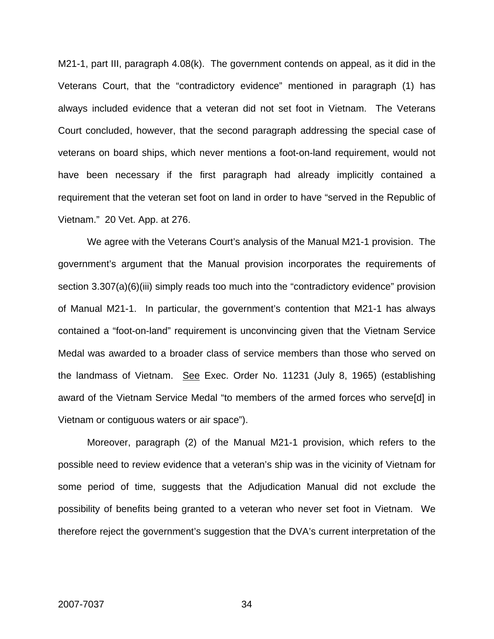M21-1, part III, paragraph 4.08(k). The government contends on appeal, as it did in the Veterans Court, that the "contradictory evidence" mentioned in paragraph (1) has always included evidence that a veteran did not set foot in Vietnam. The Veterans Court concluded, however, that the second paragraph addressing the special case of veterans on board ships, which never mentions a foot-on-land requirement, would not have been necessary if the first paragraph had already implicitly contained a requirement that the veteran set foot on land in order to have "served in the Republic of Vietnam." 20 Vet. App. at 276.

We agree with the Veterans Court's analysis of the Manual M21-1 provision. The government's argument that the Manual provision incorporates the requirements of section 3.307(a)(6)(iii) simply reads too much into the "contradictory evidence" provision of Manual M21-1. In particular, the government's contention that M21-1 has always contained a "foot-on-land" requirement is unconvincing given that the Vietnam Service Medal was awarded to a broader class of service members than those who served on the landmass of Vietnam. See Exec. Order No. 11231 (July 8, 1965) (establishing award of the Vietnam Service Medal "to members of the armed forces who serve[d] in Vietnam or contiguous waters or air space").

Moreover, paragraph (2) of the Manual M21-1 provision, which refers to the possible need to review evidence that a veteran's ship was in the vicinity of Vietnam for some period of time, suggests that the Adjudication Manual did not exclude the possibility of benefits being granted to a veteran who never set foot in Vietnam. We therefore reject the government's suggestion that the DVA's current interpretation of the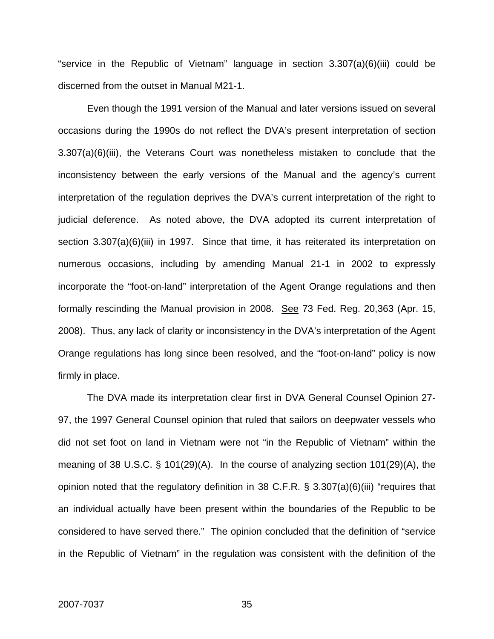"service in the Republic of Vietnam" language in section 3.307(a)(6)(iii) could be discerned from the outset in Manual M21-1.

Even though the 1991 version of the Manual and later versions issued on several occasions during the 1990s do not reflect the DVA's present interpretation of section 3.307(a)(6)(iii), the Veterans Court was nonetheless mistaken to conclude that the inconsistency between the early versions of the Manual and the agency's current interpretation of the regulation deprives the DVA's current interpretation of the right to judicial deference. As noted above, the DVA adopted its current interpretation of section 3.307(a)(6)(iii) in 1997. Since that time, it has reiterated its interpretation on numerous occasions, including by amending Manual 21-1 in 2002 to expressly incorporate the "foot-on-land" interpretation of the Agent Orange regulations and then formally rescinding the Manual provision in 2008. See 73 Fed. Reg. 20,363 (Apr. 15, 2008). Thus, any lack of clarity or inconsistency in the DVA's interpretation of the Agent Orange regulations has long since been resolved, and the "foot-on-land" policy is now firmly in place.

The DVA made its interpretation clear first in DVA General Counsel Opinion 27- 97, the 1997 General Counsel opinion that ruled that sailors on deepwater vessels who did not set foot on land in Vietnam were not "in the Republic of Vietnam" within the meaning of 38 U.S.C. § 101(29)(A). In the course of analyzing section 101(29)(A), the opinion noted that the regulatory definition in 38 C.F.R. § 3.307(a)(6)(iii) "requires that an individual actually have been present within the boundaries of the Republic to be considered to have served there." The opinion concluded that the definition of "service in the Republic of Vietnam" in the regulation was consistent with the definition of the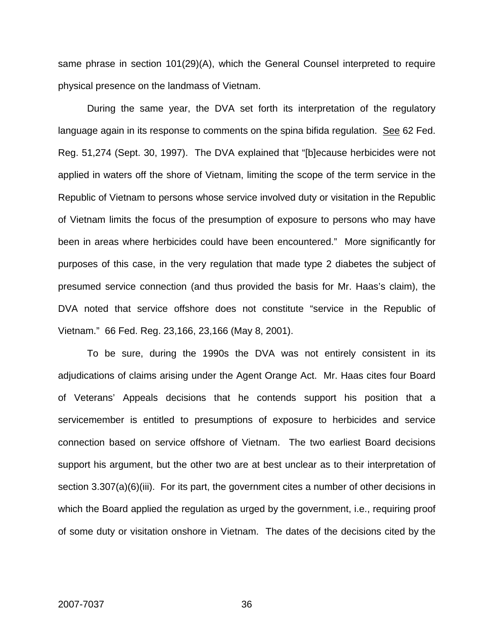same phrase in section 101(29)(A), which the General Counsel interpreted to require physical presence on the landmass of Vietnam.

During the same year, the DVA set forth its interpretation of the regulatory language again in its response to comments on the spina bifida regulation. See 62 Fed. Reg. 51,274 (Sept. 30, 1997). The DVA explained that "[b]ecause herbicides were not applied in waters off the shore of Vietnam, limiting the scope of the term service in the Republic of Vietnam to persons whose service involved duty or visitation in the Republic of Vietnam limits the focus of the presumption of exposure to persons who may have been in areas where herbicides could have been encountered." More significantly for purposes of this case, in the very regulation that made type 2 diabetes the subject of presumed service connection (and thus provided the basis for Mr. Haas's claim), the DVA noted that service offshore does not constitute "service in the Republic of Vietnam." 66 Fed. Reg. 23,166, 23,166 (May 8, 2001).

To be sure, during the 1990s the DVA was not entirely consistent in its adjudications of claims arising under the Agent Orange Act. Mr. Haas cites four Board of Veterans' Appeals decisions that he contends support his position that a servicemember is entitled to presumptions of exposure to herbicides and service connection based on service offshore of Vietnam. The two earliest Board decisions support his argument, but the other two are at best unclear as to their interpretation of section 3.307(a)(6)(iii). For its part, the government cites a number of other decisions in which the Board applied the regulation as urged by the government, i.e., requiring proof of some duty or visitation onshore in Vietnam. The dates of the decisions cited by the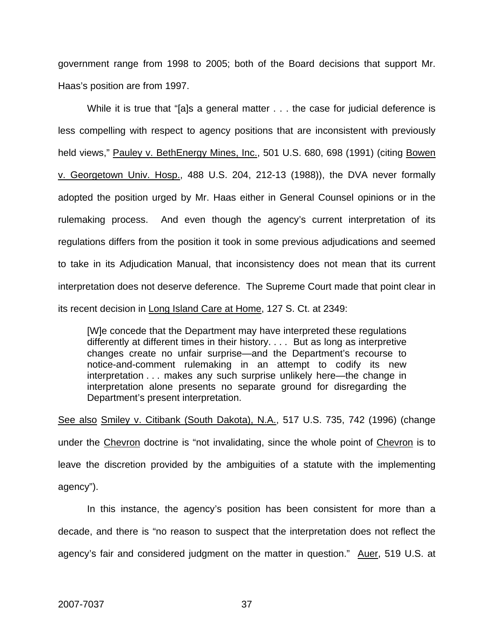government range from 1998 to 2005; both of the Board decisions that support Mr. Haas's position are from 1997.

While it is true that "[a]s a general matter . . . the case for judicial deference is less compelling with respect to agency positions that are inconsistent with previously held views," Pauley v. BethEnergy Mines, Inc., 501 U.S. 680, 698 (1991) (citing Bowen v. Georgetown Univ. Hosp., 488 U.S. 204, 212-13 (1988)), the DVA never formally adopted the position urged by Mr. Haas either in General Counsel opinions or in the rulemaking process. And even though the agency's current interpretation of its regulations differs from the position it took in some previous adjudications and seemed to take in its Adjudication Manual, that inconsistency does not mean that its current interpretation does not deserve deference. The Supreme Court made that point clear in its recent decision in Long Island Care at Home, 127 S. Ct. at 2349:

[W]e concede that the Department may have interpreted these regulations differently at different times in their history. . . . But as long as interpretive changes create no unfair surprise—and the Department's recourse to notice-and-comment rulemaking in an attempt to codify its new interpretation . . . makes any such surprise unlikely here—the change in interpretation alone presents no separate ground for disregarding the Department's present interpretation.

See also Smiley v. Citibank (South Dakota), N.A., 517 U.S. 735, 742 (1996) (change under the Chevron doctrine is "not invalidating, since the whole point of Chevron is to leave the discretion provided by the ambiguities of a statute with the implementing agency").

In this instance, the agency's position has been consistent for more than a decade, and there is "no reason to suspect that the interpretation does not reflect the agency's fair and considered judgment on the matter in question." Auer, 519 U.S. at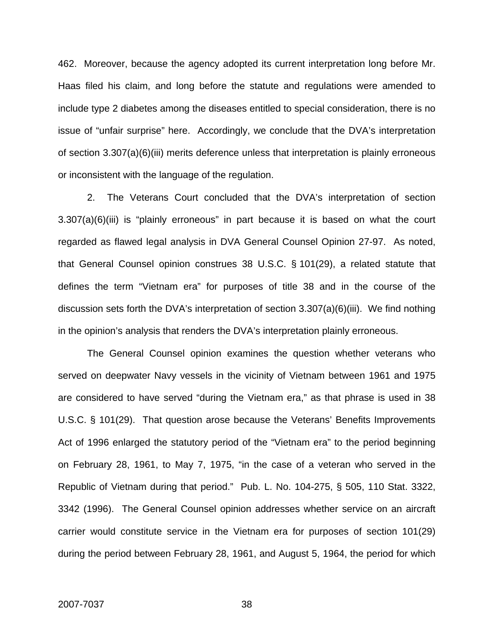462. Moreover, because the agency adopted its current interpretation long before Mr. Haas filed his claim, and long before the statute and regulations were amended to include type 2 diabetes among the diseases entitled to special consideration, there is no issue of "unfair surprise" here. Accordingly, we conclude that the DVA's interpretation of section 3.307(a)(6)(iii) merits deference unless that interpretation is plainly erroneous or inconsistent with the language of the regulation.

2. The Veterans Court concluded that the DVA's interpretation of section 3.307(a)(6)(iii) is "plainly erroneous" in part because it is based on what the court regarded as flawed legal analysis in DVA General Counsel Opinion 27-97. As noted, that General Counsel opinion construes 38 U.S.C. § 101(29), a related statute that defines the term "Vietnam era" for purposes of title 38 and in the course of the discussion sets forth the DVA's interpretation of section 3.307(a)(6)(iii). We find nothing in the opinion's analysis that renders the DVA's interpretation plainly erroneous.

The General Counsel opinion examines the question whether veterans who served on deepwater Navy vessels in the vicinity of Vietnam between 1961 and 1975 are considered to have served "during the Vietnam era," as that phrase is used in 38 U.S.C. § 101(29). That question arose because the Veterans' Benefits Improvements Act of 1996 enlarged the statutory period of the "Vietnam era" to the period beginning on February 28, 1961, to May 7, 1975, "in the case of a veteran who served in the Republic of Vietnam during that period." Pub. L. No. 104-275, § 505, 110 Stat. 3322, 3342 (1996). The General Counsel opinion addresses whether service on an aircraft carrier would constitute service in the Vietnam era for purposes of section 101(29) during the period between February 28, 1961, and August 5, 1964, the period for which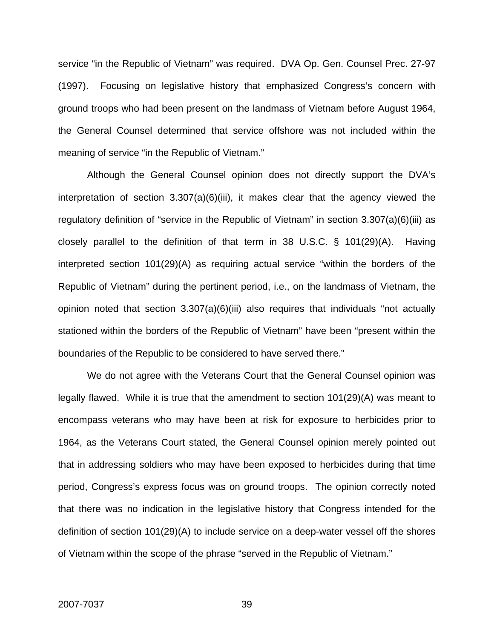service "in the Republic of Vietnam" was required. DVA Op. Gen. Counsel Prec. 27-97 (1997). Focusing on legislative history that emphasized Congress's concern with ground troops who had been present on the landmass of Vietnam before August 1964, the General Counsel determined that service offshore was not included within the meaning of service "in the Republic of Vietnam."

Although the General Counsel opinion does not directly support the DVA's interpretation of section 3.307(a)(6)(iii), it makes clear that the agency viewed the regulatory definition of "service in the Republic of Vietnam" in section 3.307(a)(6)(iii) as closely parallel to the definition of that term in 38 U.S.C. § 101(29)(A). Having interpreted section 101(29)(A) as requiring actual service "within the borders of the Republic of Vietnam" during the pertinent period, i.e., on the landmass of Vietnam, the opinion noted that section  $3.307(a)(6)(iii)$  also requires that individuals "not actually stationed within the borders of the Republic of Vietnam" have been "present within the boundaries of the Republic to be considered to have served there."

We do not agree with the Veterans Court that the General Counsel opinion was legally flawed. While it is true that the amendment to section 101(29)(A) was meant to encompass veterans who may have been at risk for exposure to herbicides prior to 1964, as the Veterans Court stated, the General Counsel opinion merely pointed out that in addressing soldiers who may have been exposed to herbicides during that time period, Congress's express focus was on ground troops. The opinion correctly noted that there was no indication in the legislative history that Congress intended for the definition of section 101(29)(A) to include service on a deep-water vessel off the shores of Vietnam within the scope of the phrase "served in the Republic of Vietnam."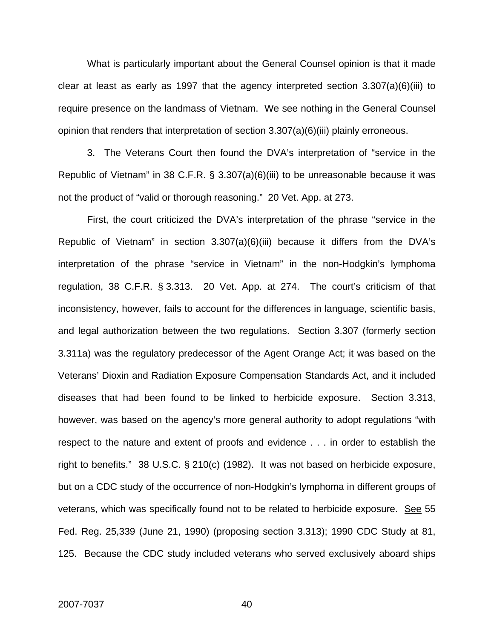What is particularly important about the General Counsel opinion is that it made clear at least as early as 1997 that the agency interpreted section 3.307(a)(6)(iii) to require presence on the landmass of Vietnam. We see nothing in the General Counsel opinion that renders that interpretation of section 3.307(a)(6)(iii) plainly erroneous.

 3. The Veterans Court then found the DVA's interpretation of "service in the Republic of Vietnam" in 38 C.F.R. § 3.307(a)(6)(iii) to be unreasonable because it was not the product of "valid or thorough reasoning." 20 Vet. App. at 273.

First, the court criticized the DVA's interpretation of the phrase "service in the Republic of Vietnam" in section 3.307(a)(6)(iii) because it differs from the DVA's interpretation of the phrase "service in Vietnam" in the non-Hodgkin's lymphoma regulation, 38 C.F.R. § 3.313. 20 Vet. App. at 274. The court's criticism of that inconsistency, however, fails to account for the differences in language, scientific basis, and legal authorization between the two regulations. Section 3.307 (formerly section 3.311a) was the regulatory predecessor of the Agent Orange Act; it was based on the Veterans' Dioxin and Radiation Exposure Compensation Standards Act, and it included diseases that had been found to be linked to herbicide exposure. Section 3.313, however, was based on the agency's more general authority to adopt regulations "with respect to the nature and extent of proofs and evidence . . . in order to establish the right to benefits." 38 U.S.C. § 210(c) (1982). It was not based on herbicide exposure, but on a CDC study of the occurrence of non-Hodgkin's lymphoma in different groups of veterans, which was specifically found not to be related to herbicide exposure. See 55 Fed. Reg. 25,339 (June 21, 1990) (proposing section 3.313); 1990 CDC Study at 81, 125. Because the CDC study included veterans who served exclusively aboard ships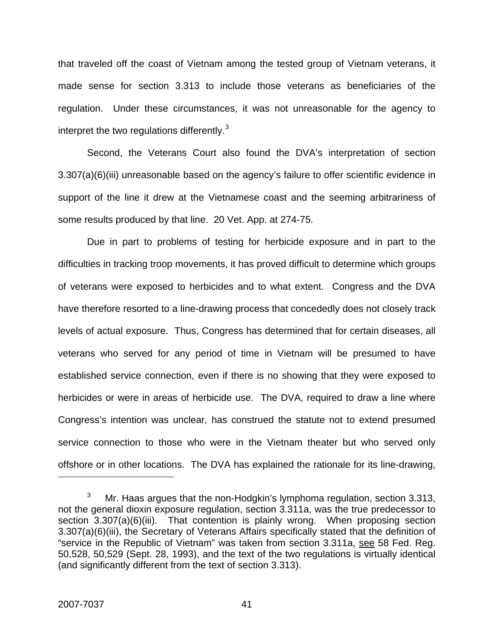that traveled off the coast of Vietnam among the tested group of Vietnam veterans, it made sense for section 3.313 to include those veterans as beneficiaries of the regulation. Under these circumstances, it was not unreasonable for the agency to interpret the two regulations differently. $3$ 

Second, the Veterans Court also found the DVA's interpretation of section 3.307(a)(6)(iii) unreasonable based on the agency's failure to offer scientific evidence in support of the line it drew at the Vietnamese coast and the seeming arbitrariness of some results produced by that line. 20 Vet. App. at 274-75.

Due in part to problems of testing for herbicide exposure and in part to the difficulties in tracking troop movements, it has proved difficult to determine which groups of veterans were exposed to herbicides and to what extent. Congress and the DVA have therefore resorted to a line-drawing process that concededly does not closely track levels of actual exposure. Thus, Congress has determined that for certain diseases, all veterans who served for any period of time in Vietnam will be presumed to have established service connection, even if there is no showing that they were exposed to herbicides or were in areas of herbicide use. The DVA, required to draw a line where Congress's intention was unclear, has construed the statute not to extend presumed service connection to those who were in the Vietnam theater but who served only offshore or in other locations. The DVA has explained the rationale for its line-drawing,

 $\overline{a}$ 

<span id="page-41-0"></span><sup>3</sup> Mr. Haas argues that the non-Hodgkin's lymphoma regulation, section 3.313, not the general dioxin exposure regulation, section 3.311a, was the true predecessor to section 3.307(a)(6)(iii). That contention is plainly wrong. When proposing section 3.307(a)(6)(iii), the Secretary of Veterans Affairs specifically stated that the definition of "service in the Republic of Vietnam" was taken from section 3.311a, see 58 Fed. Reg. 50,528, 50,529 (Sept. 28, 1993), and the text of the two regulations is virtually identical (and significantly different from the text of section 3.313).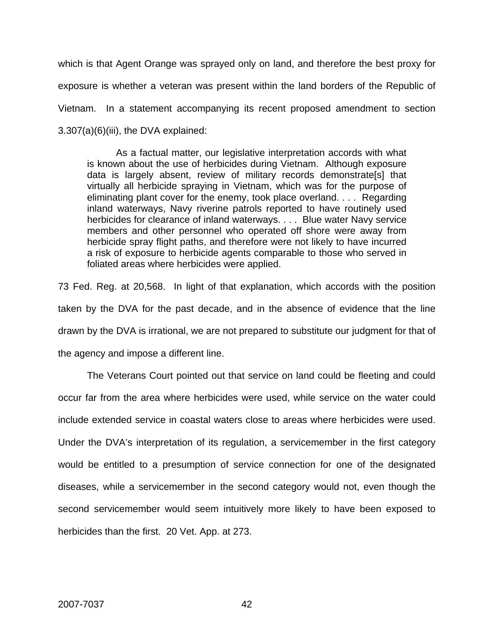which is that Agent Orange was sprayed only on land, and therefore the best proxy for exposure is whether a veteran was present within the land borders of the Republic of Vietnam. In a statement accompanying its recent proposed amendment to section 3.307(a)(6)(iii), the DVA explained:

As a factual matter, our legislative interpretation accords with what is known about the use of herbicides during Vietnam. Although exposure data is largely absent, review of military records demonstrate[s] that virtually all herbicide spraying in Vietnam, which was for the purpose of eliminating plant cover for the enemy, took place overland. . . . Regarding inland waterways, Navy riverine patrols reported to have routinely used herbicides for clearance of inland waterways. . . . Blue water Navy service members and other personnel who operated off shore were away from herbicide spray flight paths, and therefore were not likely to have incurred a risk of exposure to herbicide agents comparable to those who served in foliated areas where herbicides were applied.

73 Fed. Reg. at 20,568. In light of that explanation, which accords with the position taken by the DVA for the past decade, and in the absence of evidence that the line drawn by the DVA is irrational, we are not prepared to substitute our judgment for that of the agency and impose a different line.

The Veterans Court pointed out that service on land could be fleeting and could occur far from the area where herbicides were used, while service on the water could include extended service in coastal waters close to areas where herbicides were used. Under the DVA's interpretation of its regulation, a servicemember in the first category would be entitled to a presumption of service connection for one of the designated diseases, while a servicemember in the second category would not, even though the second servicemember would seem intuitively more likely to have been exposed to herbicides than the first. 20 Vet. App. at 273.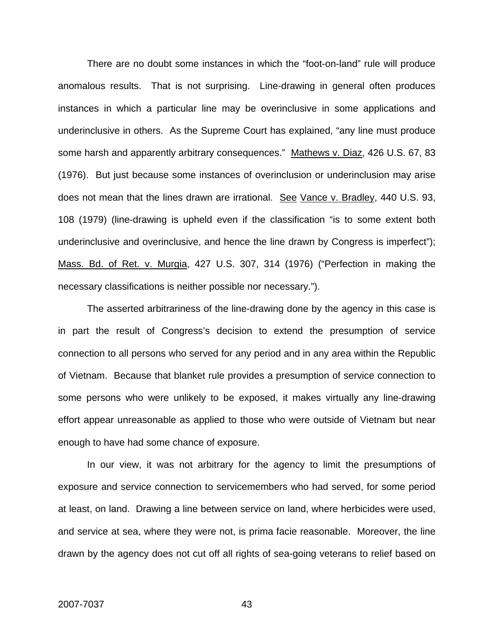There are no doubt some instances in which the "foot-on-land" rule will produce anomalous results. That is not surprising. Line-drawing in general often produces instances in which a particular line may be overinclusive in some applications and underinclusive in others. As the Supreme Court has explained, "any line must produce some harsh and apparently arbitrary consequences." Mathews v. Diaz, 426 U.S. 67, 83 (1976). But just because some instances of overinclusion or underinclusion may arise does not mean that the lines drawn are irrational. See Vance v. Bradley, 440 U.S. 93, 108 (1979) (line-drawing is upheld even if the classification "is to some extent both underinclusive and overinclusive, and hence the line drawn by Congress is imperfect"); Mass. Bd. of Ret. v. Murgia, 427 U.S. 307, 314 (1976) ("Perfection in making the necessary classifications is neither possible nor necessary.").

The asserted arbitrariness of the line-drawing done by the agency in this case is in part the result of Congress's decision to extend the presumption of service connection to all persons who served for any period and in any area within the Republic of Vietnam. Because that blanket rule provides a presumption of service connection to some persons who were unlikely to be exposed, it makes virtually any line-drawing effort appear unreasonable as applied to those who were outside of Vietnam but near enough to have had some chance of exposure.

In our view, it was not arbitrary for the agency to limit the presumptions of exposure and service connection to servicemembers who had served, for some period at least, on land. Drawing a line between service on land, where herbicides were used, and service at sea, where they were not, is prima facie reasonable. Moreover, the line drawn by the agency does not cut off all rights of sea-going veterans to relief based on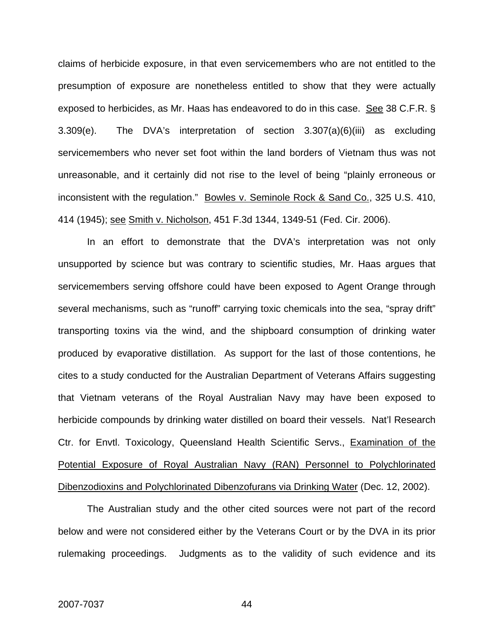claims of herbicide exposure, in that even servicemembers who are not entitled to the presumption of exposure are nonetheless entitled to show that they were actually exposed to herbicides, as Mr. Haas has endeavored to do in this case. See 38 C.F.R. § 3.309(e). The DVA's interpretation of section 3.307(a)(6)(iii) as excluding servicemembers who never set foot within the land borders of Vietnam thus was not unreasonable, and it certainly did not rise to the level of being "plainly erroneous or inconsistent with the regulation." Bowles v. Seminole Rock & Sand Co., 325 U.S. 410, 414 (1945); see Smith v. Nicholson, 451 F.3d 1344, 1349-51 (Fed. Cir. 2006).

 In an effort to demonstrate that the DVA's interpretation was not only unsupported by science but was contrary to scientific studies, Mr. Haas argues that servicemembers serving offshore could have been exposed to Agent Orange through several mechanisms, such as "runoff" carrying toxic chemicals into the sea, "spray drift" transporting toxins via the wind, and the shipboard consumption of drinking water produced by evaporative distillation. As support for the last of those contentions, he cites to a study conducted for the Australian Department of Veterans Affairs suggesting that Vietnam veterans of the Royal Australian Navy may have been exposed to herbicide compounds by drinking water distilled on board their vessels. Nat'l Research Ctr. for Envtl. Toxicology, Queensland Health Scientific Servs., Examination of the Potential Exposure of Royal Australian Navy (RAN) Personnel to Polychlorinated Dibenzodioxins and Polychlorinated Dibenzofurans via Drinking Water (Dec. 12, 2002).

The Australian study and the other cited sources were not part of the record below and were not considered either by the Veterans Court or by the DVA in its prior rulemaking proceedings. Judgments as to the validity of such evidence and its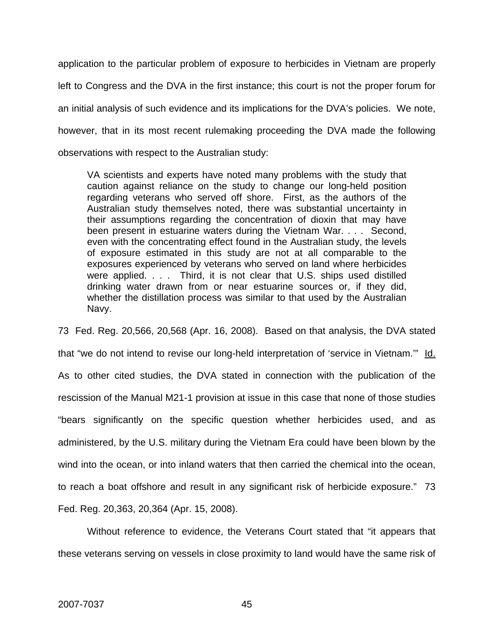application to the particular problem of exposure to herbicides in Vietnam are properly left to Congress and the DVA in the first instance; this court is not the proper forum for an initial analysis of such evidence and its implications for the DVA's policies. We note, however, that in its most recent rulemaking proceeding the DVA made the following observations with respect to the Australian study:

VA scientists and experts have noted many problems with the study that caution against reliance on the study to change our long-held position regarding veterans who served off shore. First, as the authors of the Australian study themselves noted, there was substantial uncertainty in their assumptions regarding the concentration of dioxin that may have been present in estuarine waters during the Vietnam War. . . . Second, even with the concentrating effect found in the Australian study, the levels of exposure estimated in this study are not at all comparable to the exposures experienced by veterans who served on land where herbicides were applied. . . . Third, it is not clear that U.S. ships used distilled drinking water drawn from or near estuarine sources or, if they did, whether the distillation process was similar to that used by the Australian Navy.

73 Fed. Reg. 20,566, 20,568 (Apr. 16, 2008). Based on that analysis, the DVA stated that "we do not intend to revise our long-held interpretation of 'service in Vietnam.'" Id. As to other cited studies, the DVA stated in connection with the publication of the rescission of the Manual M21-1 provision at issue in this case that none of those studies "bears significantly on the specific question whether herbicides used, and as administered, by the U.S. military during the Vietnam Era could have been blown by the wind into the ocean, or into inland waters that then carried the chemical into the ocean, to reach a boat offshore and result in any significant risk of herbicide exposure." 73 Fed. Reg. 20,363, 20,364 (Apr. 15, 2008).

Without reference to evidence, the Veterans Court stated that "it appears that these veterans serving on vessels in close proximity to land would have the same risk of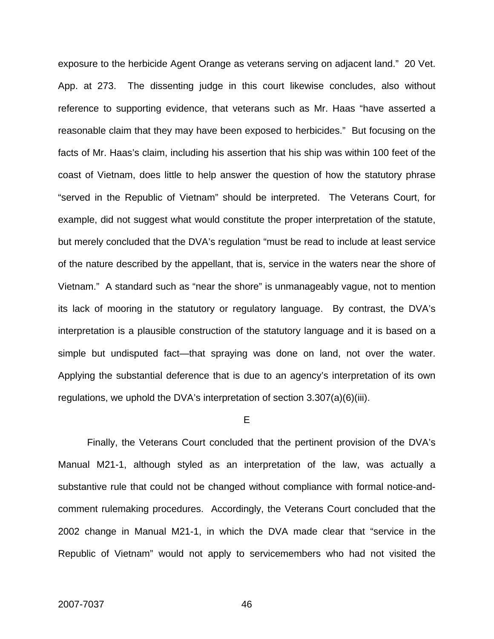exposure to the herbicide Agent Orange as veterans serving on adjacent land." 20 Vet. App. at 273. The dissenting judge in this court likewise concludes, also without reference to supporting evidence, that veterans such as Mr. Haas "have asserted a reasonable claim that they may have been exposed to herbicides." But focusing on the facts of Mr. Haas's claim, including his assertion that his ship was within 100 feet of the coast of Vietnam, does little to help answer the question of how the statutory phrase "served in the Republic of Vietnam" should be interpreted. The Veterans Court, for example, did not suggest what would constitute the proper interpretation of the statute, but merely concluded that the DVA's regulation "must be read to include at least service of the nature described by the appellant, that is, service in the waters near the shore of Vietnam." A standard such as "near the shore" is unmanageably vague, not to mention its lack of mooring in the statutory or regulatory language. By contrast, the DVA's interpretation is a plausible construction of the statutory language and it is based on a simple but undisputed fact—that spraying was done on land, not over the water. Applying the substantial deference that is due to an agency's interpretation of its own regulations, we uphold the DVA's interpretation of section 3.307(a)(6)(iii).

#### E

 Finally, the Veterans Court concluded that the pertinent provision of the DVA's Manual M21-1, although styled as an interpretation of the law, was actually a substantive rule that could not be changed without compliance with formal notice-andcomment rulemaking procedures. Accordingly, the Veterans Court concluded that the 2002 change in Manual M21-1, in which the DVA made clear that "service in the Republic of Vietnam" would not apply to servicemembers who had not visited the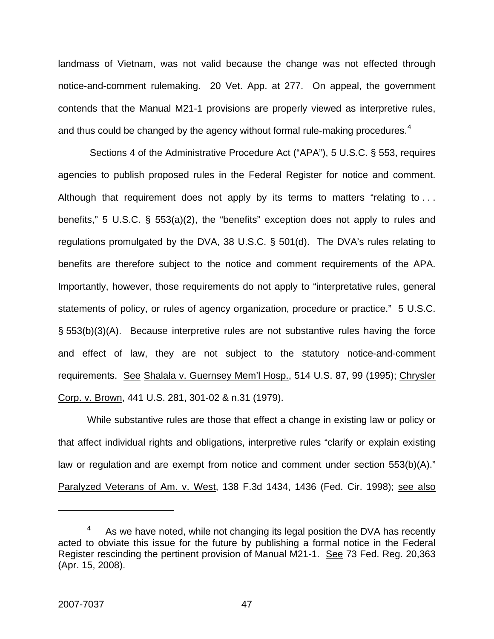landmass of Vietnam, was not valid because the change was not effected through notice-and-comment rulemaking. 20 Vet. App. at 277. On appeal, the government contends that the Manual M21-1 provisions are properly viewed as interpretive rules, and thus could be changed by the agency without formal rule-making procedures.<sup>[4](#page-47-0)</sup>

 Sections 4 of the Administrative Procedure Act ("APA"), 5 U.S.C. § 553, requires agencies to publish proposed rules in the Federal Register for notice and comment. Although that requirement does not apply by its terms to matters "relating to ... benefits," 5 U.S.C. § 553(a)(2), the "benefits" exception does not apply to rules and regulations promulgated by the DVA, 38 U.S.C. § 501(d). The DVA's rules relating to benefits are therefore subject to the notice and comment requirements of the APA. Importantly, however, those requirements do not apply to "interpretative rules, general statements of policy, or rules of agency organization, procedure or practice." 5 U.S.C. § 553(b)(3)(A). Because interpretive rules are not substantive rules having the force and effect of law, they are not subject to the statutory notice-and-comment requirements. See Shalala v. Guernsey Mem'l Hosp., 514 U.S. 87, 99 (1995); Chrysler Corp. v. Brown, 441 U.S. 281, 301-02 & n.31 (1979).

While substantive rules are those that effect a change in existing law or policy or that affect individual rights and obligations, interpretive rules "clarify or explain existing law or regulation and are exempt from notice and comment under section 553(b)(A)." Paralyzed Veterans of Am. v. West, 138 F.3d 1434, 1436 (Fed. Cir. 1998); see also

1

<span id="page-47-0"></span><sup>4</sup> As we have noted, while not changing its legal position the DVA has recently acted to obviate this issue for the future by publishing a formal notice in the Federal Register rescinding the pertinent provision of Manual M21-1. See 73 Fed. Reg. 20,363 (Apr. 15, 2008).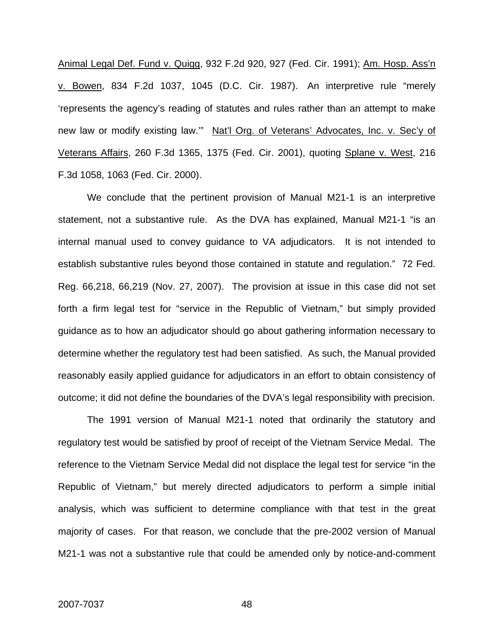Animal Legal Def. Fund v. Quigg, 932 F.2d 920, 927 (Fed. Cir. 1991); Am. Hosp. Ass'n v. Bowen, 834 F.2d 1037, 1045 (D.C. Cir. 1987). An interpretive rule "merely 'represents the agency's reading of statutes and rules rather than an attempt to make new law or modify existing law.'" Nat'l Org. of Veterans' Advocates, Inc. v. Sec'y of Veterans Affairs, 260 F.3d 1365, 1375 (Fed. Cir. 2001), quoting Splane v. West, 216 F.3d 1058, 1063 (Fed. Cir. 2000).

We conclude that the pertinent provision of Manual M21-1 is an interpretive statement, not a substantive rule. As the DVA has explained, Manual M21-1 "is an internal manual used to convey guidance to VA adjudicators. It is not intended to establish substantive rules beyond those contained in statute and regulation." 72 Fed. Reg. 66,218, 66,219 (Nov. 27, 2007). The provision at issue in this case did not set forth a firm legal test for "service in the Republic of Vietnam," but simply provided guidance as to how an adjudicator should go about gathering information necessary to determine whether the regulatory test had been satisfied. As such, the Manual provided reasonably easily applied guidance for adjudicators in an effort to obtain consistency of outcome; it did not define the boundaries of the DVA's legal responsibility with precision.

The 1991 version of Manual M21-1 noted that ordinarily the statutory and regulatory test would be satisfied by proof of receipt of the Vietnam Service Medal. The reference to the Vietnam Service Medal did not displace the legal test for service "in the Republic of Vietnam," but merely directed adjudicators to perform a simple initial analysis, which was sufficient to determine compliance with that test in the great majority of cases. For that reason, we conclude that the pre-2002 version of Manual M21-1 was not a substantive rule that could be amended only by notice-and-comment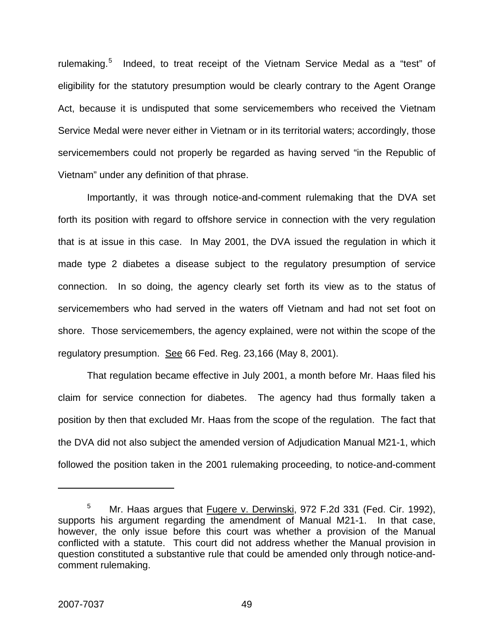rulemaking.<sup>[5](#page-49-0)</sup> Indeed, to treat receipt of the Vietnam Service Medal as a "test" of eligibility for the statutory presumption would be clearly contrary to the Agent Orange Act, because it is undisputed that some servicemembers who received the Vietnam Service Medal were never either in Vietnam or in its territorial waters; accordingly, those servicemembers could not properly be regarded as having served "in the Republic of Vietnam" under any definition of that phrase.

Importantly, it was through notice-and-comment rulemaking that the DVA set forth its position with regard to offshore service in connection with the very regulation that is at issue in this case. In May 2001, the DVA issued the regulation in which it made type 2 diabetes a disease subject to the regulatory presumption of service connection. In so doing, the agency clearly set forth its view as to the status of servicemembers who had served in the waters off Vietnam and had not set foot on shore. Those servicemembers, the agency explained, were not within the scope of the regulatory presumption. See 66 Fed. Reg. 23,166 (May 8, 2001).

That regulation became effective in July 2001, a month before Mr. Haas filed his claim for service connection for diabetes. The agency had thus formally taken a position by then that excluded Mr. Haas from the scope of the regulation. The fact that the DVA did not also subject the amended version of Adjudication Manual M21-1, which followed the position taken in the 2001 rulemaking proceeding, to notice-and-comment

 $\overline{a}$ 

<span id="page-49-0"></span><sup>5</sup> Mr. Haas argues that Fugere v. Derwinski, 972 F.2d 331 (Fed. Cir. 1992), supports his argument regarding the amendment of Manual M21-1. In that case, however, the only issue before this court was whether a provision of the Manual conflicted with a statute. This court did not address whether the Manual provision in question constituted a substantive rule that could be amended only through notice-andcomment rulemaking.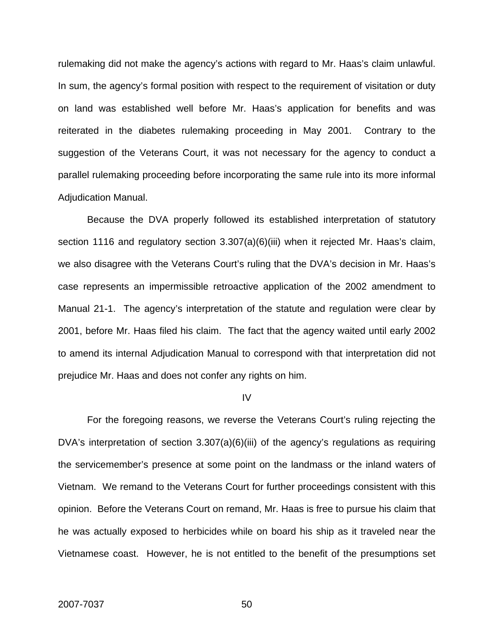rulemaking did not make the agency's actions with regard to Mr. Haas's claim unlawful. In sum, the agency's formal position with respect to the requirement of visitation or duty on land was established well before Mr. Haas's application for benefits and was reiterated in the diabetes rulemaking proceeding in May 2001. Contrary to the suggestion of the Veterans Court, it was not necessary for the agency to conduct a parallel rulemaking proceeding before incorporating the same rule into its more informal Adjudication Manual.

Because the DVA properly followed its established interpretation of statutory section 1116 and regulatory section 3.307(a)(6)(iii) when it rejected Mr. Haas's claim, we also disagree with the Veterans Court's ruling that the DVA's decision in Mr. Haas's case represents an impermissible retroactive application of the 2002 amendment to Manual 21-1. The agency's interpretation of the statute and regulation were clear by 2001, before Mr. Haas filed his claim. The fact that the agency waited until early 2002 to amend its internal Adjudication Manual to correspond with that interpretation did not prejudice Mr. Haas and does not confer any rights on him.

#### IV

For the foregoing reasons, we reverse the Veterans Court's ruling rejecting the DVA's interpretation of section 3.307(a)(6)(iii) of the agency's regulations as requiring the servicemember's presence at some point on the landmass or the inland waters of Vietnam. We remand to the Veterans Court for further proceedings consistent with this opinion. Before the Veterans Court on remand, Mr. Haas is free to pursue his claim that he was actually exposed to herbicides while on board his ship as it traveled near the Vietnamese coast. However, he is not entitled to the benefit of the presumptions set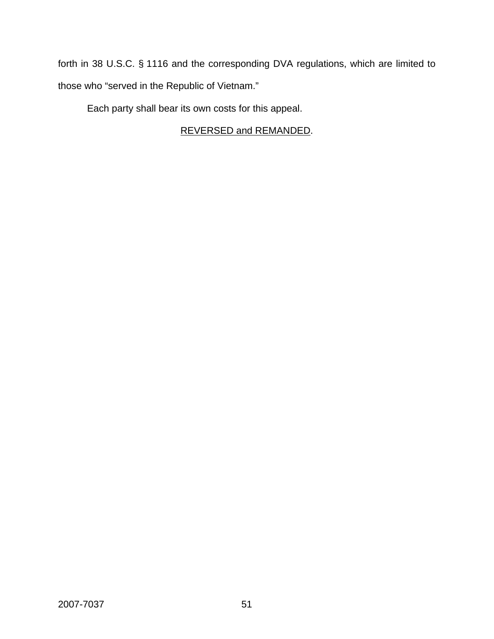forth in 38 U.S.C. § 1116 and the corresponding DVA regulations, which are limited to those who "served in the Republic of Vietnam."

Each party shall bear its own costs for this appeal.

# REVERSED and REMANDED.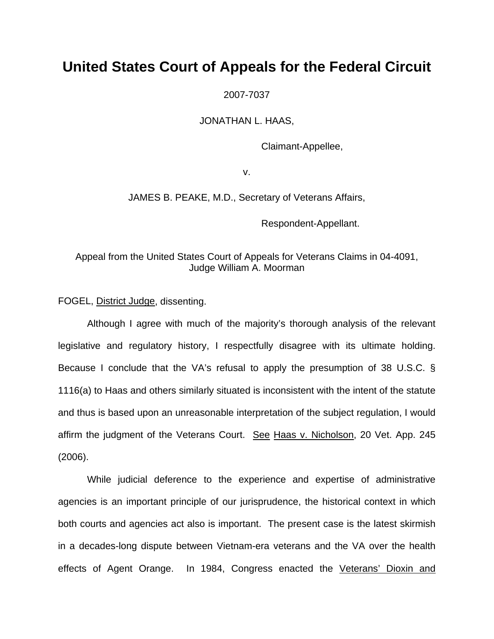# **United States Court of Appeals for the Federal Circuit**

2007-7037

JONATHAN L. HAAS,

Claimant-Appellee,

v.

JAMES B. PEAKE, M.D., Secretary of Veterans Affairs,

Respondent-Appellant.

Appeal from the United States Court of Appeals for Veterans Claims in 04-4091, Judge William A. Moorman

FOGEL, District Judge, dissenting.

 Although I agree with much of the majority's thorough analysis of the relevant legislative and regulatory history, I respectfully disagree with its ultimate holding. Because I conclude that the VA's refusal to apply the presumption of 38 U.S.C. § 1116(a) to Haas and others similarly situated is inconsistent with the intent of the statute and thus is based upon an unreasonable interpretation of the subject regulation, I would affirm the judgment of the Veterans Court. See Haas v. Nicholson, 20 Vet. App. 245 (2006).

While judicial deference to the experience and expertise of administrative agencies is an important principle of our jurisprudence, the historical context in which both courts and agencies act also is important. The present case is the latest skirmish in a decades-long dispute between Vietnam-era veterans and the VA over the health effects of Agent Orange. In 1984, Congress enacted the Veterans' Dioxin and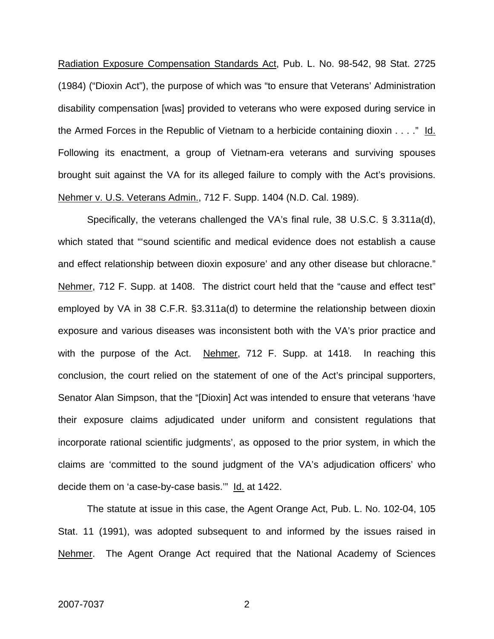Radiation Exposure Compensation Standards Act, Pub. L. No. 98-542, 98 Stat. 2725 (1984) ("Dioxin Act"), the purpose of which was "to ensure that Veterans' Administration disability compensation [was] provided to veterans who were exposed during service in the Armed Forces in the Republic of Vietnam to a herbicide containing dioxin . . . ." Id. Following its enactment, a group of Vietnam-era veterans and surviving spouses brought suit against the VA for its alleged failure to comply with the Act's provisions. Nehmer v. U.S. Veterans Admin., 712 F. Supp. 1404 (N.D. Cal. 1989).

Specifically, the veterans challenged the VA's final rule, 38 U.S.C. § 3.311a(d), which stated that "'sound scientific and medical evidence does not establish a cause and effect relationship between dioxin exposure' and any other disease but chloracne." Nehmer, 712 F. Supp. at 1408. The district court held that the "cause and effect test" employed by VA in 38 C.F.R. §3.311a(d) to determine the relationship between dioxin exposure and various diseases was inconsistent both with the VA's prior practice and with the purpose of the Act. Nehmer, 712 F. Supp. at 1418. In reaching this conclusion, the court relied on the statement of one of the Act's principal supporters, Senator Alan Simpson, that the "[Dioxin] Act was intended to ensure that veterans 'have their exposure claims adjudicated under uniform and consistent regulations that incorporate rational scientific judgments', as opposed to the prior system, in which the claims are 'committed to the sound judgment of the VA's adjudication officers' who decide them on 'a case-by-case basis."" Id. at 1422.

The statute at issue in this case, the Agent Orange Act, Pub. L. No. 102-04, 105 Stat. 11 (1991), was adopted subsequent to and informed by the issues raised in Nehmer. The Agent Orange Act required that the National Academy of Sciences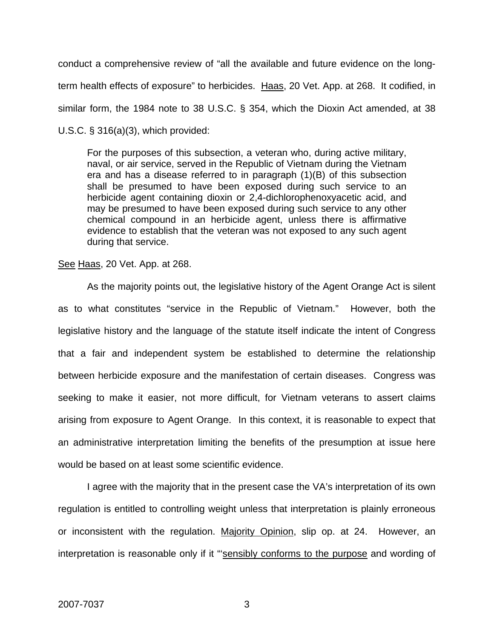conduct a comprehensive review of "all the available and future evidence on the longterm health effects of exposure" to herbicides. Haas, 20 Vet. App. at 268. It codified, in similar form, the 1984 note to 38 U.S.C. § 354, which the Dioxin Act amended, at 38 U.S.C. § 316(a)(3), which provided:

For the purposes of this subsection, a veteran who, during active military, naval, or air service, served in the Republic of Vietnam during the Vietnam era and has a disease referred to in paragraph (1)(B) of this subsection shall be presumed to have been exposed during such service to an herbicide agent containing dioxin or 2,4-dichlorophenoxyacetic acid, and may be presumed to have been exposed during such service to any other chemical compound in an herbicide agent, unless there is affirmative evidence to establish that the veteran was not exposed to any such agent during that service.

### See Haas, 20 Vet. App. at 268.

As the majority points out, the legislative history of the Agent Orange Act is silent as to what constitutes "service in the Republic of Vietnam." However, both the legislative history and the language of the statute itself indicate the intent of Congress that a fair and independent system be established to determine the relationship between herbicide exposure and the manifestation of certain diseases. Congress was seeking to make it easier, not more difficult, for Vietnam veterans to assert claims arising from exposure to Agent Orange. In this context, it is reasonable to expect that an administrative interpretation limiting the benefits of the presumption at issue here would be based on at least some scientific evidence.

 I agree with the majority that in the present case the VA's interpretation of its own regulation is entitled to controlling weight unless that interpretation is plainly erroneous or inconsistent with the regulation. Majority Opinion, slip op. at 24. However, an interpretation is reasonable only if it "sensibly conforms to the purpose and wording of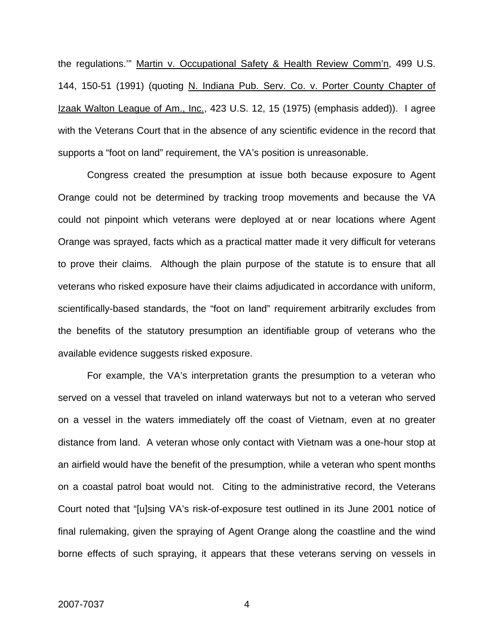the regulations.'" Martin v. Occupational Safety & Health Review Comm'n, 499 U.S. 144, 150-51 (1991) (quoting N. Indiana Pub. Serv. Co. v. Porter County Chapter of Izaak Walton League of Am., Inc., 423 U.S. 12, 15 (1975) (emphasis added)). I agree with the Veterans Court that in the absence of any scientific evidence in the record that supports a "foot on land" requirement, the VA's position is unreasonable.

Congress created the presumption at issue both because exposure to Agent Orange could not be determined by tracking troop movements and because the VA could not pinpoint which veterans were deployed at or near locations where Agent Orange was sprayed, facts which as a practical matter made it very difficult for veterans to prove their claims. Although the plain purpose of the statute is to ensure that all veterans who risked exposure have their claims adjudicated in accordance with uniform, scientifically-based standards, the "foot on land" requirement arbitrarily excludes from the benefits of the statutory presumption an identifiable group of veterans who the available evidence suggests risked exposure.

For example, the VA's interpretation grants the presumption to a veteran who served on a vessel that traveled on inland waterways but not to a veteran who served on a vessel in the waters immediately off the coast of Vietnam, even at no greater distance from land. A veteran whose only contact with Vietnam was a one-hour stop at an airfield would have the benefit of the presumption, while a veteran who spent months on a coastal patrol boat would not. Citing to the administrative record, the Veterans Court noted that "[u]sing VA's risk-of-exposure test outlined in its June 2001 notice of final rulemaking, given the spraying of Agent Orange along the coastline and the wind borne effects of such spraying, it appears that these veterans serving on vessels in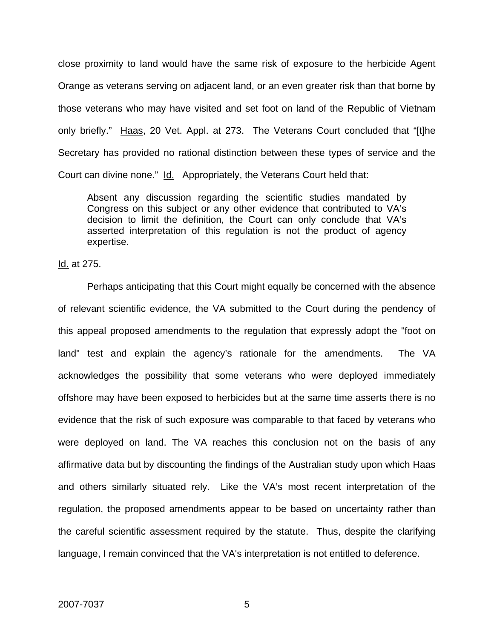close proximity to land would have the same risk of exposure to the herbicide Agent Orange as veterans serving on adjacent land, or an even greater risk than that borne by those veterans who may have visited and set foot on land of the Republic of Vietnam only briefly." Haas, 20 Vet. Appl. at 273. The Veterans Court concluded that "[t]he Secretary has provided no rational distinction between these types of service and the Court can divine none." Id. Appropriately, the Veterans Court held that:

Absent any discussion regarding the scientific studies mandated by Congress on this subject or any other evidence that contributed to VA's decision to limit the definition, the Court can only conclude that VA's asserted interpretation of this regulation is not the product of agency expertise.

Id. at 275.

 Perhaps anticipating that this Court might equally be concerned with the absence of relevant scientific evidence, the VA submitted to the Court during the pendency of this appeal proposed amendments to the regulation that expressly adopt the "foot on land" test and explain the agency's rationale for the amendments. The VA acknowledges the possibility that some veterans who were deployed immediately offshore may have been exposed to herbicides but at the same time asserts there is no evidence that the risk of such exposure was comparable to that faced by veterans who were deployed on land. The VA reaches this conclusion not on the basis of any affirmative data but by discounting the findings of the Australian study upon which Haas and others similarly situated rely. Like the VA's most recent interpretation of the regulation, the proposed amendments appear to be based on uncertainty rather than the careful scientific assessment required by the statute. Thus, despite the clarifying language, I remain convinced that the VA's interpretation is not entitled to deference.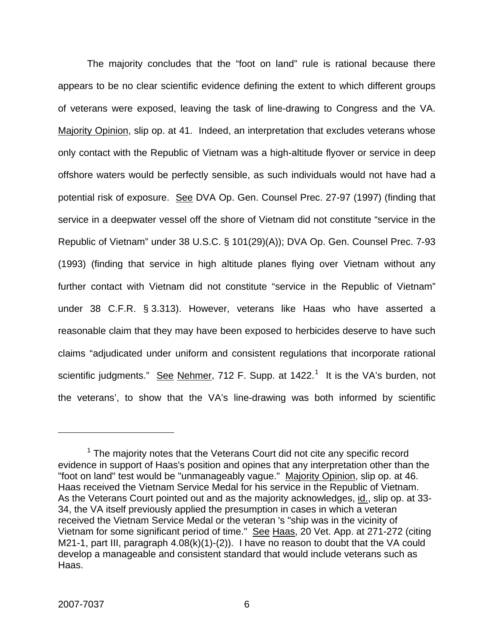The majority concludes that the "foot on land" rule is rational because there appears to be no clear scientific evidence defining the extent to which different groups of veterans were exposed, leaving the task of line-drawing to Congress and the VA. Majority Opinion, slip op. at 41. Indeed, an interpretation that excludes veterans whose only contact with the Republic of Vietnam was a high-altitude flyover or service in deep offshore waters would be perfectly sensible, as such individuals would not have had a potential risk of exposure. See DVA Op. Gen. Counsel Prec. 27-97 (1997) (finding that service in a deepwater vessel off the shore of Vietnam did not constitute "service in the Republic of Vietnam" under 38 U.S.C. § 101(29)(A)); DVA Op. Gen. Counsel Prec. 7-93 (1993) (finding that service in high altitude planes flying over Vietnam without any further contact with Vietnam did not constitute "service in the Republic of Vietnam" under 38 C.F.R. § 3.313). However, veterans like Haas who have asserted a reasonable claim that they may have been exposed to herbicides deserve to have such claims "adjudicated under uniform and consistent regulations that incorporate rational scientific judgments." See Nehmer, 7[1](#page-57-0)2 F. Supp. at 1422.<sup>1</sup> It is the VA's burden, not the veterans', to show that the VA's line-drawing was both informed by scientific

 $\overline{a}$ 

<span id="page-57-0"></span> $1$  The majority notes that the Veterans Court did not cite any specific record evidence in support of Haas's position and opines that any interpretation other than the "foot on land" test would be "unmanageably vague." Majority Opinion, slip op. at 46. Haas received the Vietnam Service Medal for his service in the Republic of Vietnam. As the Veterans Court pointed out and as the majority acknowledges, id., slip op. at 33- 34, the VA itself previously applied the presumption in cases in which a veteran received the Vietnam Service Medal or the veteran 's "ship was in the vicinity of Vietnam for some significant period of time." See Haas, 20 Vet. App. at 271-272 (citing M21-1, part III, paragraph 4.08(k)(1)-(2)). I have no reason to doubt that the VA could develop a manageable and consistent standard that would include veterans such as Haas.